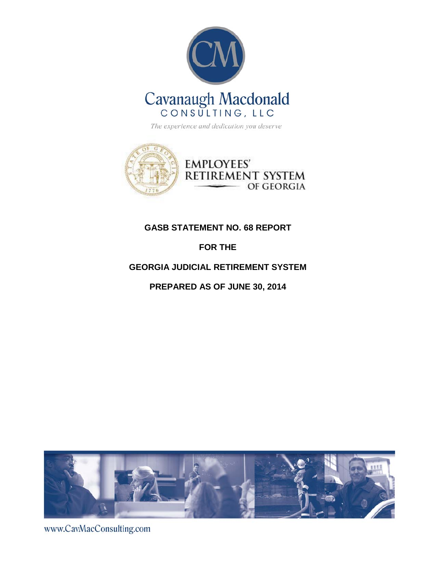



# **GASB STATEMENT NO. 68 REPORT**

# **FOR THE**

# **GEORGIA JUDICIAL RETIREMENT SYSTEM**

**PREPARED AS OF JUNE 30, 2014** 



www.CavMacConsulting.com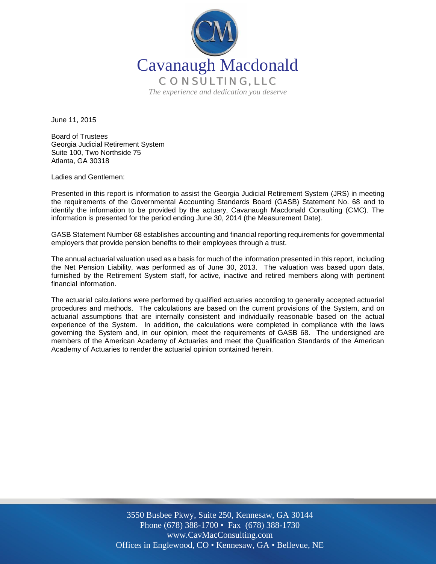

June 11, 2015

Board of Trustees Georgia Judicial Retirement System Suite 100, Two Northside 75 Atlanta, GA 30318

Ladies and Gentlemen:

Presented in this report is information to assist the Georgia Judicial Retirement System (JRS) in meeting the requirements of the Governmental Accounting Standards Board (GASB) Statement No. 68 and to identify the information to be provided by the actuary, Cavanaugh Macdonald Consulting (CMC). The information is presented for the period ending June 30, 2014 (the Measurement Date).

GASB Statement Number 68 establishes accounting and financial reporting requirements for governmental employers that provide pension benefits to their employees through a trust.

The annual actuarial valuation used as a basis for much of the information presented in this report, including the Net Pension Liability, was performed as of June 30, 2013. The valuation was based upon data, furnished by the Retirement System staff, for active, inactive and retired members along with pertinent financial information.

The actuarial calculations were performed by qualified actuaries according to generally accepted actuarial procedures and methods. The calculations are based on the current provisions of the System, and on actuarial assumptions that are internally consistent and individually reasonable based on the actual experience of the System. In addition, the calculations were completed in compliance with the laws governing the System and, in our opinion, meet the requirements of GASB 68. The undersigned are members of the American Academy of Actuaries and meet the Qualification Standards of the American Academy of Actuaries to render the actuarial opinion contained herein.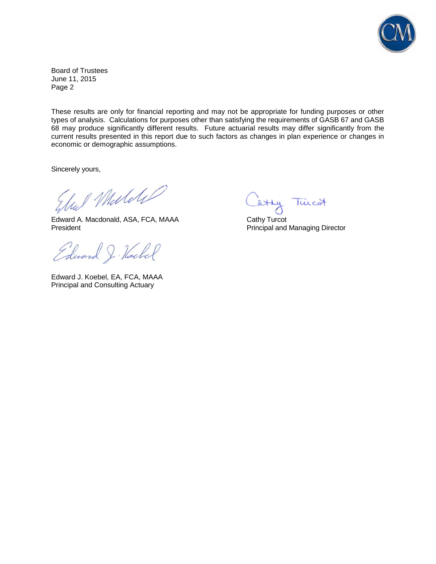

Board of Trustees June 11, 2015 Page 2

These results are only for financial reporting and may not be appropriate for funding purposes or other types of analysis. Calculations for purposes other than satisfying the requirements of GASB 67 and GASB 68 may produce significantly different results. Future actuarial results may differ significantly from the current results presented in this report due to such factors as changes in plan experience or changes in economic or demographic assumptions.

Sincerely yours,

Und Muliti

Edward A. Macdonald, ASA, FCA, MAAA Cathy Turcot President **President** Principal and Managing Director

Edward J. Hockel

Edward J. Koebel, EA, FCA, MAAA Principal and Consulting Actuary

atty Twicot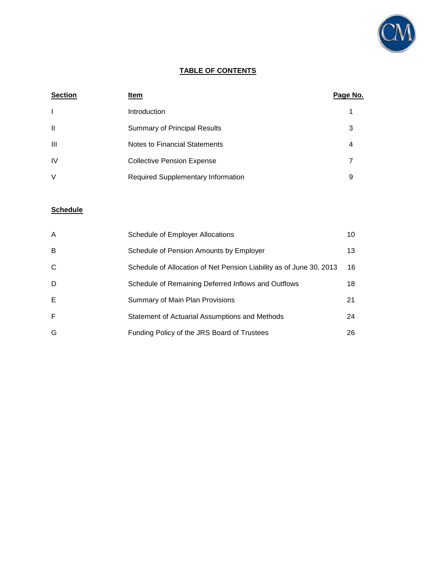

## **TABLE OF CONTENTS**

| <b>Section</b> | Item                                      | Page No. |
|----------------|-------------------------------------------|----------|
| $\mathbf{I}$   | <b>Introduction</b>                       |          |
| $\mathbf{I}$   | <b>Summary of Principal Results</b>       | 3        |
| $\mathbf{III}$ | Notes to Financial Statements             | 4        |
| IV             | <b>Collective Pension Expense</b>         | 7        |
| V              | <b>Required Supplementary Information</b> | 9        |

## **Schedule**

| A            | Schedule of Employer Allocations                                    | 10 |
|--------------|---------------------------------------------------------------------|----|
| B            | Schedule of Pension Amounts by Employer                             | 13 |
| $\mathsf{C}$ | Schedule of Allocation of Net Pension Liability as of June 30, 2013 | 16 |
| D            | Schedule of Remaining Deferred Inflows and Outflows                 | 18 |
| Е            | Summary of Main Plan Provisions                                     | 21 |
| F            | Statement of Actuarial Assumptions and Methods                      | 24 |
| G            | Funding Policy of the JRS Board of Trustees                         | 26 |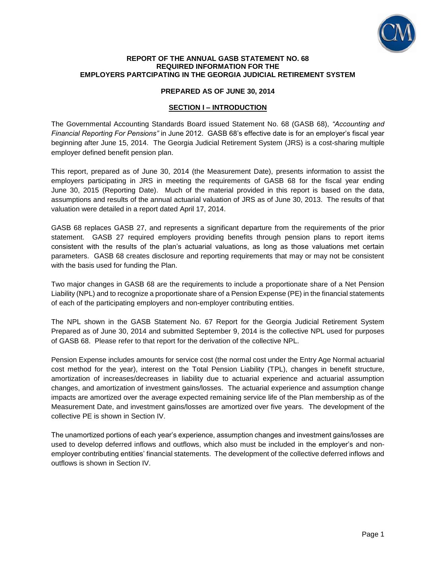

#### **REPORT OF THE ANNUAL GASB STATEMENT NO. 68 REQUIRED INFORMATION FOR THE EMPLOYERS PARTCIPATING IN THE GEORGIA JUDICIAL RETIREMENT SYSTEM**

#### **PREPARED AS OF JUNE 30, 2014**

#### **SECTION I – INTRODUCTION**

The Governmental Accounting Standards Board issued Statement No. 68 (GASB 68), *"Accounting and Financial Reporting For Pensions"* in June 2012. GASB 68's effective date is for an employer's fiscal year beginning after June 15, 2014. The Georgia Judicial Retirement System (JRS) is a cost-sharing multiple employer defined benefit pension plan.

This report, prepared as of June 30, 2014 (the Measurement Date), presents information to assist the employers participating in JRS in meeting the requirements of GASB 68 for the fiscal year ending June 30, 2015 (Reporting Date). Much of the material provided in this report is based on the data, assumptions and results of the annual actuarial valuation of JRS as of June 30, 2013. The results of that valuation were detailed in a report dated April 17, 2014.

GASB 68 replaces GASB 27, and represents a significant departure from the requirements of the prior statement. GASB 27 required employers providing benefits through pension plans to report items consistent with the results of the plan's actuarial valuations, as long as those valuations met certain parameters. GASB 68 creates disclosure and reporting requirements that may or may not be consistent with the basis used for funding the Plan.

Two major changes in GASB 68 are the requirements to include a proportionate share of a Net Pension Liability (NPL) and to recognize a proportionate share of a Pension Expense (PE) in the financial statements of each of the participating employers and non-employer contributing entities.

The NPL shown in the GASB Statement No. 67 Report for the Georgia Judicial Retirement System Prepared as of June 30, 2014 and submitted September 9, 2014 is the collective NPL used for purposes of GASB 68. Please refer to that report for the derivation of the collective NPL.

Pension Expense includes amounts for service cost (the normal cost under the Entry Age Normal actuarial cost method for the year), interest on the Total Pension Liability (TPL), changes in benefit structure, amortization of increases/decreases in liability due to actuarial experience and actuarial assumption changes, and amortization of investment gains/losses. The actuarial experience and assumption change impacts are amortized over the average expected remaining service life of the Plan membership as of the Measurement Date, and investment gains/losses are amortized over five years. The development of the collective PE is shown in Section IV.

The unamortized portions of each year's experience, assumption changes and investment gains/losses are used to develop deferred inflows and outflows, which also must be included in the employer's and nonemployer contributing entities' financial statements. The development of the collective deferred inflows and outflows is shown in Section IV.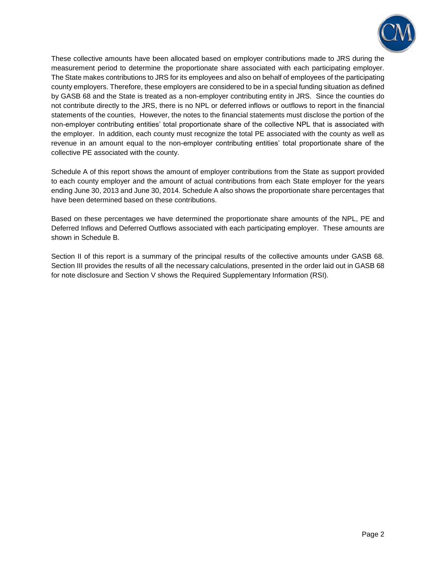

These collective amounts have been allocated based on employer contributions made to JRS during the measurement period to determine the proportionate share associated with each participating employer. The State makes contributions to JRS for its employees and also on behalf of employees of the participating county employers. Therefore, these employers are considered to be in a special funding situation as defined by GASB 68 and the State is treated as a non-employer contributing entity in JRS. Since the counties do not contribute directly to the JRS, there is no NPL or deferred inflows or outflows to report in the financial statements of the counties, However, the notes to the financial statements must disclose the portion of the non-employer contributing entities' total proportionate share of the collective NPL that is associated with the employer. In addition, each county must recognize the total PE associated with the county as well as revenue in an amount equal to the non-employer contributing entities' total proportionate share of the collective PE associated with the county.

Schedule A of this report shows the amount of employer contributions from the State as support provided to each county employer and the amount of actual contributions from each State employer for the years ending June 30, 2013 and June 30, 2014. Schedule A also shows the proportionate share percentages that have been determined based on these contributions.

Based on these percentages we have determined the proportionate share amounts of the NPL, PE and Deferred Inflows and Deferred Outflows associated with each participating employer. These amounts are shown in Schedule B.

Section II of this report is a summary of the principal results of the collective amounts under GASB 68. Section III provides the results of all the necessary calculations, presented in the order laid out in GASB 68 for note disclosure and Section V shows the Required Supplementary Information (RSI).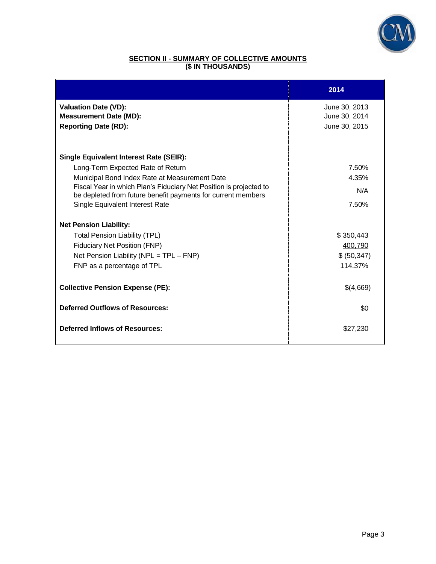

### **SECTION II - SUMMARY OF COLLECTIVE AMOUNTS (\$ IN THOUSANDS)**

|                                                                                                                                    | 2014          |
|------------------------------------------------------------------------------------------------------------------------------------|---------------|
| <b>Valuation Date (VD):</b>                                                                                                        | June 30, 2013 |
| <b>Measurement Date (MD):</b>                                                                                                      | June 30, 2014 |
| <b>Reporting Date (RD):</b>                                                                                                        | June 30, 2015 |
|                                                                                                                                    |               |
| <b>Single Equivalent Interest Rate (SEIR):</b>                                                                                     |               |
| Long-Term Expected Rate of Return                                                                                                  | 7.50%         |
| Municipal Bond Index Rate at Measurement Date                                                                                      | 4.35%         |
| Fiscal Year in which Plan's Fiduciary Net Position is projected to<br>be depleted from future benefit payments for current members | N/A           |
| Single Equivalent Interest Rate                                                                                                    | 7.50%         |
| <b>Net Pension Liability:</b>                                                                                                      |               |
| <b>Total Pension Liability (TPL)</b>                                                                                               | \$350,443     |
| <b>Fiduciary Net Position (FNP)</b>                                                                                                | 400,790       |
| Net Pension Liability ( $NPL = TPL - FNP$ )                                                                                        | \$ (50, 347)  |
| FNP as a percentage of TPL                                                                                                         | 114.37%       |
| <b>Collective Pension Expense (PE):</b>                                                                                            | \$(4,669)     |
| <b>Deferred Outflows of Resources:</b>                                                                                             | \$0           |
| <b>Deferred Inflows of Resources:</b>                                                                                              | \$27,230      |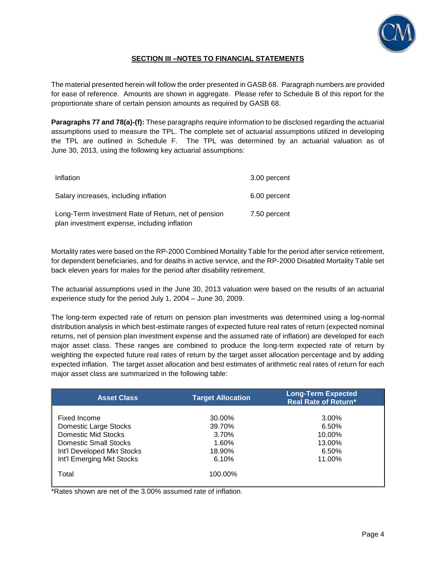

### **SECTION III –NOTES TO FINANCIAL STATEMENTS**

The material presented herein will follow the order presented in GASB 68. Paragraph numbers are provided for ease of reference. Amounts are shown in aggregate. Please refer to Schedule B of this report for the proportionate share of certain pension amounts as required by GASB 68.

**Paragraphs 77 and 78(a)-(f):** These paragraphs require information to be disclosed regarding the actuarial assumptions used to measure the TPL. The complete set of actuarial assumptions utilized in developing the TPL are outlined in Schedule F. The TPL was determined by an actuarial valuation as of June 30, 2013, using the following key actuarial assumptions:

| Inflation                                                                                           | 3.00 percent |
|-----------------------------------------------------------------------------------------------------|--------------|
| Salary increases, including inflation                                                               | 6.00 percent |
| Long-Term Investment Rate of Return, net of pension<br>plan investment expense, including inflation | 7.50 percent |

Mortality rates were based on the RP-2000 Combined Mortality Table for the period after service retirement, for dependent beneficiaries, and for deaths in active service, and the RP-2000 Disabled Mortality Table set back eleven years for males for the period after disability retirement.

The actuarial assumptions used in the June 30, 2013 valuation were based on the results of an actuarial experience study for the period July 1, 2004 – June 30, 2009.

The long-term expected rate of return on pension plan investments was determined using a log-normal distribution analysis in which best-estimate ranges of expected future real rates of return (expected nominal returns, net of pension plan investment expense and the assumed rate of inflation) are developed for each major asset class. These ranges are combined to produce the long-term expected rate of return by weighting the expected future real rates of return by the target asset allocation percentage and by adding expected inflation. The target asset allocation and best estimates of arithmetic real rates of return for each major asset class are summarized in the following table:

| <b>Asset Class</b>         | <b>Target Allocation</b> | <b>Long-Term Expected</b><br><b>Real Rate of Return*</b> |
|----------------------------|--------------------------|----------------------------------------------------------|
|                            |                          |                                                          |
| Fixed Income               | 30.00%                   | 3.00%                                                    |
| Domestic Large Stocks      | 39.70%                   | 6.50%                                                    |
| Domestic Mid Stocks        | 3.70%                    | 10.00%                                                   |
| Domestic Small Stocks      | 1.60%                    | 13.00%                                                   |
| Int'l Developed Mkt Stocks | 18.90%                   | 6.50%                                                    |
| Int'l Emerging Mkt Stocks  | 6.10%                    | 11.00%                                                   |
| Total                      | 100.00%                  |                                                          |

\*Rates shown are net of the 3.00% assumed rate of inflation.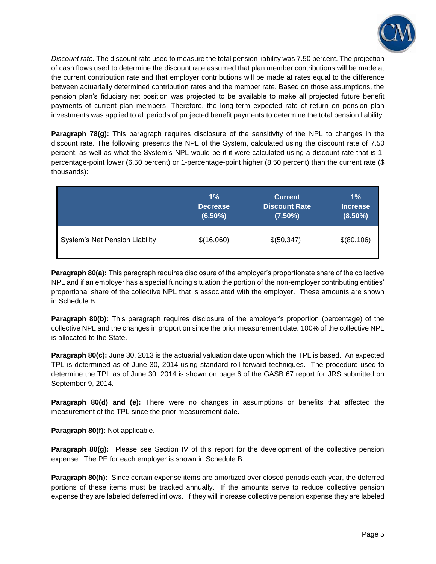

*Discount rate.* The discount rate used to measure the total pension liability was 7.50 percent. The projection of cash flows used to determine the discount rate assumed that plan member contributions will be made at the current contribution rate and that employer contributions will be made at rates equal to the difference between actuarially determined contribution rates and the member rate. Based on those assumptions, the pension plan's fiduciary net position was projected to be available to make all projected future benefit payments of current plan members. Therefore, the long-term expected rate of return on pension plan investments was applied to all periods of projected benefit payments to determine the total pension liability.

**Paragraph 78(g):** This paragraph requires disclosure of the sensitivity of the NPL to changes in the discount rate*.* The following presents the NPL of the System, calculated using the discount rate of 7.50 percent, as well as what the System's NPL would be if it were calculated using a discount rate that is 1 percentage-point lower (6.50 percent) or 1-percentage-point higher (8.50 percent) than the current rate (\$ thousands):

|                                       | $1\%$           | <b>Current</b>       | $1\%$           |
|---------------------------------------|-----------------|----------------------|-----------------|
|                                       | <b>Decrease</b> | <b>Discount Rate</b> | <b>Increase</b> |
|                                       | $(6.50\%)$      | $(7.50\%)$           | $(8.50\%)$      |
| <b>System's Net Pension Liability</b> | \$(16,060)      | \$(50,347)           | \$(80,106)      |

**Paragraph 80(a):** This paragraph requires disclosure of the employer's proportionate share of the collective NPL and if an employer has a special funding situation the portion of the non-employer contributing entities' proportional share of the collective NPL that is associated with the employer. These amounts are shown in Schedule B.

**Paragraph 80(b):** This paragraph requires disclosure of the employer's proportion (percentage) of the collective NPL and the changes in proportion since the prior measurement date. 100% of the collective NPL is allocated to the State.

**Paragraph 80(c):** June 30, 2013 is the actuarial valuation date upon which the TPL is based. An expected TPL is determined as of June 30, 2014 using standard roll forward techniques. The procedure used to determine the TPL as of June 30, 2014 is shown on page 6 of the GASB 67 report for JRS submitted on September 9, 2014.

**Paragraph 80(d) and (e):** There were no changes in assumptions or benefits that affected the measurement of the TPL since the prior measurement date.

**Paragraph 80(f):** Not applicable.

**Paragraph 80(g):** Please see Section IV of this report for the development of the collective pension expense. The PE for each employer is shown in Schedule B.

**Paragraph 80(h):** Since certain expense items are amortized over closed periods each year, the deferred portions of these items must be tracked annually. If the amounts serve to reduce collective pension expense they are labeled deferred inflows. If they will increase collective pension expense they are labeled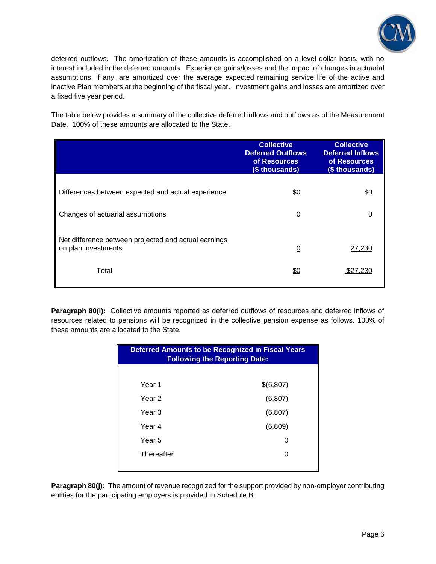

deferred outflows. The amortization of these amounts is accomplished on a level dollar basis, with no interest included in the deferred amounts. Experience gains/losses and the impact of changes in actuarial assumptions, if any, are amortized over the average expected remaining service life of the active and inactive Plan members at the beginning of the fiscal year. Investment gains and losses are amortized over a fixed five year period.

The table below provides a summary of the collective deferred inflows and outflows as of the Measurement Date. 100% of these amounts are allocated to the State.

|                                                                             | <b>Collective</b><br><b>Deferred Outflows</b><br>of Resources<br>(\$ thousands) | <b>Collective</b><br><b>Deferred Inflows</b><br>of Resources<br>(\$ thousands) |
|-----------------------------------------------------------------------------|---------------------------------------------------------------------------------|--------------------------------------------------------------------------------|
| Differences between expected and actual experience                          | \$0                                                                             | \$0                                                                            |
| Changes of actuarial assumptions                                            | 0                                                                               | 0                                                                              |
| Net difference between projected and actual earnings<br>on plan investments | $\overline{0}$                                                                  | 27,230                                                                         |
| Total                                                                       | <u>\$0</u>                                                                      |                                                                                |

**Paragraph 80(i):** Collective amounts reported as deferred outflows of resources and deferred inflows of resources related to pensions will be recognized in the collective pension expense as follows. 100% of these amounts are allocated to the State.

| <b>Deferred Amounts to be Recognized in Fiscal Years</b><br><b>Following the Reporting Date:</b> |           |  |  |  |
|--------------------------------------------------------------------------------------------------|-----------|--|--|--|
|                                                                                                  |           |  |  |  |
| Year 1                                                                                           | \$(6,807) |  |  |  |
| Year 2                                                                                           | (6, 807)  |  |  |  |
| Year 3                                                                                           | (6, 807)  |  |  |  |
| Year 4                                                                                           | (6,809)   |  |  |  |
| Year 5                                                                                           | ი         |  |  |  |
| Thereafter                                                                                       | ი         |  |  |  |
|                                                                                                  |           |  |  |  |

**Paragraph 80(j):** The amount of revenue recognized for the support provided by non-employer contributing entities for the participating employers is provided in Schedule B.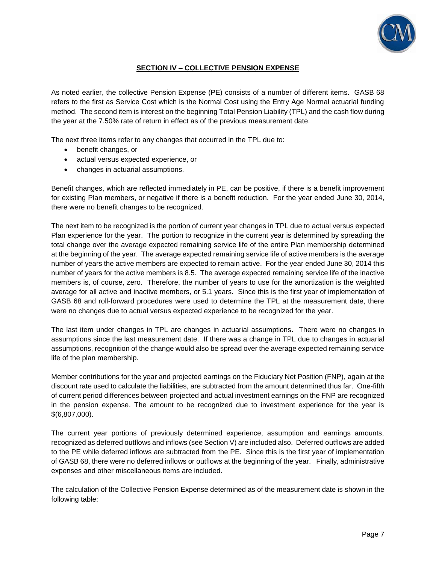

## **SECTION IV – COLLECTIVE PENSION EXPENSE**

As noted earlier, the collective Pension Expense (PE) consists of a number of different items. GASB 68 refers to the first as Service Cost which is the Normal Cost using the Entry Age Normal actuarial funding method. The second item is interest on the beginning Total Pension Liability (TPL) and the cash flow during the year at the 7.50% rate of return in effect as of the previous measurement date.

The next three items refer to any changes that occurred in the TPL due to:

- benefit changes, or
- actual versus expected experience, or
- changes in actuarial assumptions.

Benefit changes, which are reflected immediately in PE, can be positive, if there is a benefit improvement for existing Plan members, or negative if there is a benefit reduction. For the year ended June 30, 2014, there were no benefit changes to be recognized.

The next item to be recognized is the portion of current year changes in TPL due to actual versus expected Plan experience for the year. The portion to recognize in the current year is determined by spreading the total change over the average expected remaining service life of the entire Plan membership determined at the beginning of the year. The average expected remaining service life of active members is the average number of years the active members are expected to remain active. For the year ended June 30, 2014 this number of years for the active members is 8.5. The average expected remaining service life of the inactive members is, of course, zero. Therefore, the number of years to use for the amortization is the weighted average for all active and inactive members, or 5.1 years. Since this is the first year of implementation of GASB 68 and roll-forward procedures were used to determine the TPL at the measurement date, there were no changes due to actual versus expected experience to be recognized for the year.

The last item under changes in TPL are changes in actuarial assumptions. There were no changes in assumptions since the last measurement date. If there was a change in TPL due to changes in actuarial assumptions, recognition of the change would also be spread over the average expected remaining service life of the plan membership.

Member contributions for the year and projected earnings on the Fiduciary Net Position (FNP), again at the discount rate used to calculate the liabilities, are subtracted from the amount determined thus far. One-fifth of current period differences between projected and actual investment earnings on the FNP are recognized in the pension expense. The amount to be recognized due to investment experience for the year is \$(6,807,000).

The current year portions of previously determined experience, assumption and earnings amounts, recognized as deferred outflows and inflows (see Section V) are included also. Deferred outflows are added to the PE while deferred inflows are subtracted from the PE. Since this is the first year of implementation of GASB 68, there were no deferred inflows or outflows at the beginning of the year. Finally, administrative expenses and other miscellaneous items are included.

The calculation of the Collective Pension Expense determined as of the measurement date is shown in the following table: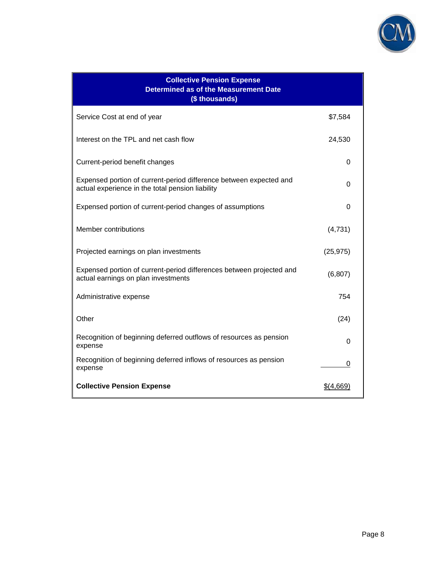

| <b>Collective Pension Expense</b><br><b>Determined as of the Measurement Date</b><br>(\$ thousands)                    |           |
|------------------------------------------------------------------------------------------------------------------------|-----------|
| Service Cost at end of year                                                                                            | \$7,584   |
| Interest on the TPL and net cash flow                                                                                  | 24,530    |
| Current-period benefit changes                                                                                         | 0         |
| Expensed portion of current-period difference between expected and<br>actual experience in the total pension liability | 0         |
| Expensed portion of current-period changes of assumptions                                                              | 0         |
| Member contributions                                                                                                   | (4,731)   |
| Projected earnings on plan investments                                                                                 | (25, 975) |
| Expensed portion of current-period differences between projected and<br>actual earnings on plan investments            | (6, 807)  |
| Administrative expense                                                                                                 | 754       |
| Other                                                                                                                  | (24)      |
| Recognition of beginning deferred outflows of resources as pension<br>expense                                          | O         |
| Recognition of beginning deferred inflows of resources as pension<br>expense                                           | 0         |
| <b>Collective Pension Expense</b>                                                                                      | \$(4,669) |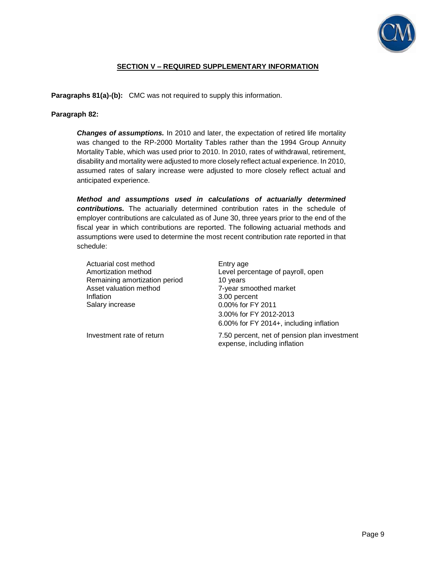

### **SECTION V – REQUIRED SUPPLEMENTARY INFORMATION**

**Paragraphs 81(a)-(b):** CMC was not required to supply this information.

**Paragraph 82:** 

*Changes of assumptions.* In 2010 and later, the expectation of retired life mortality was changed to the RP-2000 Mortality Tables rather than the 1994 Group Annuity Mortality Table, which was used prior to 2010. In 2010, rates of withdrawal, retirement, disability and mortality were adjusted to more closely reflect actual experience. In 2010, assumed rates of salary increase were adjusted to more closely reflect actual and anticipated experience.

*Method and assumptions used in calculations of actuarially determined contributions.* The actuarially determined contribution rates in the schedule of employer contributions are calculated as of June 30, three years prior to the end of the fiscal year in which contributions are reported. The following actuarial methods and assumptions were used to determine the most recent contribution rate reported in that schedule:

Actuarial cost method Entry age Remaining amortization period 10 years Asset valuation method 7-year smoothed market Inflation 3.00 percent Salary increase 0.00% for FY 2011

Amortization method Level percentage of payroll, open 3.00% for FY 2012-2013 6.00% for FY 2014+, including inflation

Investment rate of return 7.50 percent, net of pension plan investment expense, including inflation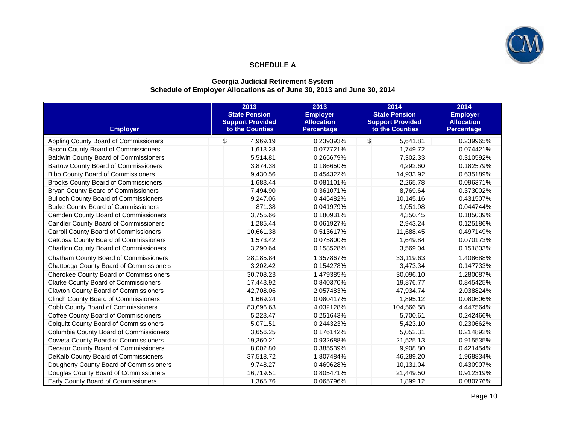

## **SCHEDULE A**

### **Georgia Judicial Retirement System Schedule of Employer Allocations as of June 30, 2013 and June 30, 2014**

| <b>Employer</b>                               | 2013<br><b>State Pension</b><br><b>Support Provided</b><br>to the Counties | 2013<br><b>Employer</b><br><b>Allocation</b><br><b>Percentage</b> | 2014<br><b>State Pension</b><br><b>Support Provided</b><br>to the Counties | 2014<br><b>Employer</b><br><b>Allocation</b><br><b>Percentage</b> |
|-----------------------------------------------|----------------------------------------------------------------------------|-------------------------------------------------------------------|----------------------------------------------------------------------------|-------------------------------------------------------------------|
| Appling County Board of Commissioners         | \$<br>4,969.19                                                             | 0.239393%                                                         | \$<br>5,641.81                                                             | 0.239965%                                                         |
| Bacon County Board of Commissioners           | 1,613.28                                                                   | 0.077721%                                                         | 1,749.72                                                                   | 0.074421%                                                         |
| <b>Baldwin County Board of Commissioners</b>  | 5,514.81                                                                   | 0.265679%                                                         | 7,302.33                                                                   | 0.310592%                                                         |
| Bartow County Board of Commissioners          | 3,874.38                                                                   | 0.186650%                                                         | 4,292.60                                                                   | 0.182579%                                                         |
| <b>Bibb County Board of Commissioners</b>     | 9,430.56                                                                   | 0.454322%                                                         | 14,933.92                                                                  | 0.635189%                                                         |
| <b>Brooks County Board of Commissioners</b>   | 1,683.44                                                                   | 0.081101%                                                         | 2,265.78                                                                   | 0.096371%                                                         |
| <b>Bryan County Board of Commissioners</b>    | 7,494.90                                                                   | 0.361071%                                                         | 8.769.64                                                                   | 0.373002%                                                         |
| <b>Bulloch County Board of Commissioners</b>  | 9,247.06                                                                   | 0.445482%                                                         | 10,145.16                                                                  | 0.431507%                                                         |
| <b>Burke County Board of Commissioners</b>    | 871.38                                                                     | 0.041979%                                                         | 1,051.98                                                                   | 0.044744%                                                         |
| Camden County Board of Commissioners          | 3,755.66                                                                   | 0.180931%                                                         | 4,350.45                                                                   | 0.185039%                                                         |
| <b>Candler County Board of Commissioners</b>  | 1,285.44                                                                   | 0.061927%                                                         | 2,943.24                                                                   | 0.125186%                                                         |
| Carroll County Board of Commissioners         | 10,661.38                                                                  | 0.513617%                                                         | 11,688.45                                                                  | 0.497149%                                                         |
| Catoosa County Board of Commissioners         | 1,573.42                                                                   | 0.075800%                                                         | 1,649.84                                                                   | 0.070173%                                                         |
| <b>Charlton County Board of Commissioners</b> | 3,290.64                                                                   | 0.158528%                                                         | 3,569.04                                                                   | 0.151803%                                                         |
| Chatham County Board of Commissioners         | 28,185.84                                                                  | 1.357867%                                                         | 33,119.63                                                                  | 1.408688%                                                         |
| Chattooga County Board of Commissioners       | 3,202.42                                                                   | 0.154278%                                                         | 3,473.34                                                                   | 0.147733%                                                         |
| Cherokee County Board of Commissioners        | 30,708.23                                                                  | 1.479385%                                                         | 30,096.10                                                                  | 1.280087%                                                         |
| <b>Clarke County Board of Commissioners</b>   | 17,443.92                                                                  | 0.840370%                                                         | 19,876.77                                                                  | 0.845425%                                                         |
| <b>Clayton County Board of Commissioners</b>  | 42,708.06                                                                  | 2.057483%                                                         | 47,934.74                                                                  | 2.038824%                                                         |
| <b>Clinch County Board of Commissioners</b>   | 1,669.24                                                                   | 0.080417%                                                         | 1,895.12                                                                   | 0.080606%                                                         |
| Cobb County Board of Commissioners            | 83,696.63                                                                  | 4.032128%                                                         | 104,566.58                                                                 | 4.447564%                                                         |
| Coffee County Board of Commissioners          | 5,223.47                                                                   | 0.251643%                                                         | 5,700.61                                                                   | 0.242466%                                                         |
| <b>Colquitt County Board of Commissioners</b> | 5,071.51                                                                   | 0.244323%                                                         | 5,423.10                                                                   | 0.230662%                                                         |
| Columbia County Board of Commissioners        | 3,656.25                                                                   | 0.176142%                                                         | 5,052.31                                                                   | 0.214892%                                                         |
| <b>Coweta County Board of Commissioners</b>   | 19,360.21                                                                  | 0.932688%                                                         | 21,525.13                                                                  | 0.915535%                                                         |
| Decatur County Board of Commissioners         | 8,002.80                                                                   | 0.385539%                                                         | 9.908.80                                                                   | 0.421454%                                                         |
| DeKalb County Board of Commissioners          | 37,518.72                                                                  | 1.807484%                                                         | 46,289.20                                                                  | 1.968834%                                                         |
| Dougherty County Board of Commissioners       | 9,748.27                                                                   | 0.469628%                                                         | 10,131.04                                                                  | 0.430907%                                                         |
| Douglas County Board of Commissioners         | 16,719.51                                                                  | 0.805471%                                                         | 21,449.50                                                                  | 0.912319%                                                         |
| Early County Board of Commissioners           | 1,365.76                                                                   | 0.065796%                                                         | 1,899.12                                                                   | 0.080776%                                                         |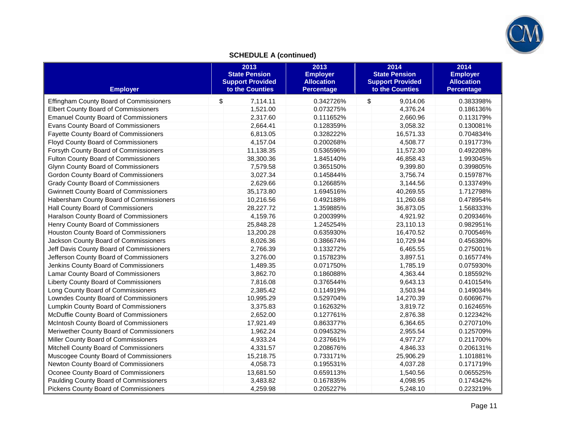

# **SCHEDULE A (continued)**

| <b>Employer</b>                               | 2013<br><b>State Pension</b><br><b>Support Provided</b><br>to the Counties | 2013<br><b>Employer</b><br><b>Allocation</b><br><b>Percentage</b> | 2014<br><b>State Pension</b><br><b>Support Provided</b><br>to the Counties | 2014<br><b>Employer</b><br><b>Allocation</b><br><b>Percentage</b> |
|-----------------------------------------------|----------------------------------------------------------------------------|-------------------------------------------------------------------|----------------------------------------------------------------------------|-------------------------------------------------------------------|
| Effingham County Board of Commissioners       | \$<br>7,114.11                                                             | 0.342726%                                                         | \$<br>9,014.06                                                             | 0.383398%                                                         |
| <b>Elbert County Board of Commissioners</b>   | 1,521.00                                                                   | 0.073275%                                                         | 4,376.24                                                                   | 0.186136%                                                         |
| <b>Emanuel County Board of Commissioners</b>  | 2,317.60                                                                   | 0.111652%                                                         | 2.660.96                                                                   | 0.113179%                                                         |
| Evans County Board of Commissioners           | 2,664.41                                                                   | 0.128359%                                                         | 3,058.32                                                                   | 0.130081%                                                         |
| <b>Fayette County Board of Commissioners</b>  | 6,813.05                                                                   | 0.328222%                                                         | 16,571.33                                                                  | 0.704834%                                                         |
| <b>Floyd County Board of Commissioners</b>    | 4,157.04                                                                   | 0.200268%                                                         | 4,508.77                                                                   | 0.191773%                                                         |
| Forsyth County Board of Commissioners         | 11,138.35                                                                  | 0.536596%                                                         | 11,572.30                                                                  | 0.492208%                                                         |
| <b>Fulton County Board of Commissioners</b>   | 38,300.36                                                                  | 1.845140%                                                         | 46,858.43                                                                  | 1.993045%                                                         |
| Glynn County Board of Commissioners           | 7,579.58                                                                   | 0.365150%                                                         | 9,399.80                                                                   | 0.399805%                                                         |
| Gordon County Board of Commissioners          | 3,027.34                                                                   | 0.145844%                                                         | 3,756.74                                                                   | 0.159787%                                                         |
| <b>Grady County Board of Commissioners</b>    | 2,629.66                                                                   | 0.126685%                                                         | 3,144.56                                                                   | 0.133749%                                                         |
| <b>Gwinnett County Board of Commissioners</b> | 35,173.80                                                                  | 1.694516%                                                         | 40,269.55                                                                  | 1.712798%                                                         |
| Habersham County Board of Commissioners       | 10,216.56                                                                  | 0.492188%                                                         | 11,260.68                                                                  | 0.478954%                                                         |
| Hall County Board of Commissioners            | 28,227.72                                                                  | 1.359885%                                                         | 36,873.05                                                                  | 1.568333%                                                         |
| Haralson County Board of Commissioners        | 4,159.76                                                                   | 0.200399%                                                         | 4,921.92                                                                   | 0.209346%                                                         |
| Henry County Board of Commissioners           | 25,848.28                                                                  | 1.245254%                                                         | 23,110.13                                                                  | 0.982951%                                                         |
| Houston County Board of Commissioners         | 13,200.28                                                                  | 0.635930%                                                         | 16,470.52                                                                  | 0.700546%                                                         |
| Jackson County Board of Commissioners         | 8,026.36                                                                   | 0.386674%                                                         | 10,729.94                                                                  | 0.456380%                                                         |
| Jeff Davis County Board of Commissioners      | 2,766.39                                                                   | 0.133272%                                                         | 6,465.55                                                                   | 0.275001%                                                         |
| Jefferson County Board of Commissioners       | 3,276.00                                                                   | 0.157823%                                                         | 3,897.51                                                                   | 0.165774%                                                         |
| Jenkins County Board of Commissioners         | 1,489.35                                                                   | 0.071750%                                                         | 1,785.19                                                                   | 0.075930%                                                         |
| Lamar County Board of Commissioners           | 3,862.70                                                                   | 0.186088%                                                         | 4,363.44                                                                   | 0.185592%                                                         |
| Liberty County Board of Commissioners         | 7,816.08                                                                   | 0.376544%                                                         | 9,643.13                                                                   | 0.410154%                                                         |
| Long County Board of Commissioners            | 2,385.42                                                                   | 0.114919%                                                         | 3,503.94                                                                   | 0.149034%                                                         |
| Lowndes County Board of Commissioners         | 10,995.29                                                                  | 0.529704%                                                         | 14,270.39                                                                  | 0.606967%                                                         |
| Lumpkin County Board of Commissioners         | 3,375.83                                                                   | 0.162632%                                                         | 3,819.72                                                                   | 0.162465%                                                         |
| McDuffie County Board of Commissioners        | 2,652.00                                                                   | 0.127761%                                                         | 2,876.38                                                                   | 0.122342%                                                         |
| McIntosh County Board of Commissioners        | 17,921.49                                                                  | 0.863377%                                                         | 6,364.65                                                                   | 0.270710%                                                         |
| Meriwether County Board of Commissioners      | 1,962.24                                                                   | 0.094532%                                                         | 2,955.54                                                                   | 0.125709%                                                         |
| Miller County Board of Commissioners          | 4,933.24                                                                   | 0.237661%                                                         | 4,977.27                                                                   | 0.211700%                                                         |
| Mitchell County Board of Commissioners        | 4,331.57                                                                   | 0.208676%                                                         | 4,846.33                                                                   | 0.206131%                                                         |
| Muscogee County Board of Commissioners        | 15,218.75                                                                  | 0.733171%                                                         | 25,906.29                                                                  | 1.101881%                                                         |
| Newton County Board of Commissioners          | 4,058.73                                                                   | 0.195531%                                                         | 4,037.28                                                                   | 0.171719%                                                         |
| Oconee County Board of Commissioners          | 13,681.50                                                                  | 0.659113%                                                         | 1,540.56                                                                   | 0.065525%                                                         |
| Paulding County Board of Commissioners        | 3,483.82                                                                   | 0.167835%                                                         | 4,098.95                                                                   | 0.174342%                                                         |
| Pickens County Board of Commissioners         | 4,259.98                                                                   | 0.205227%                                                         | 5,248.10                                                                   | 0.223219%                                                         |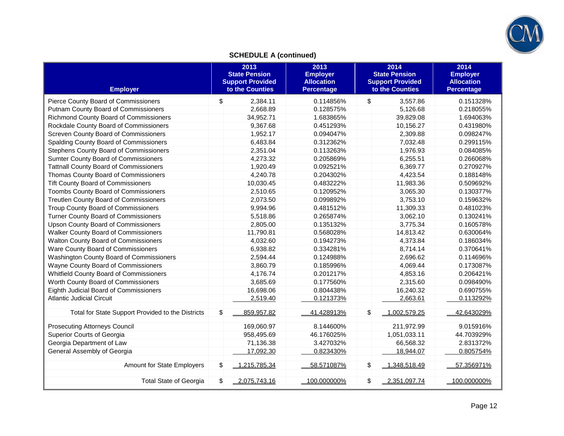

# **SCHEDULE A (continued)**

| <b>Employer</b>                                   | 2013<br><b>State Pension</b><br><b>Support Provided</b><br>to the Counties | 2013<br><b>Employer</b><br><b>Allocation</b><br><b>Percentage</b> | 2014<br><b>State Pension</b><br><b>Support Provided</b><br>to the Counties | 2014<br><b>Employer</b><br><b>Allocation</b><br><b>Percentage</b> |
|---------------------------------------------------|----------------------------------------------------------------------------|-------------------------------------------------------------------|----------------------------------------------------------------------------|-------------------------------------------------------------------|
| Pierce County Board of Commissioners              | \$<br>2.384.11                                                             | 0.114856%                                                         | \$<br>3.557.86                                                             | 0.151328%                                                         |
| Putnam County Board of Commissioners              | 2,668.89                                                                   | 0.128575%                                                         | 5,126.68                                                                   | 0.218055%                                                         |
| Richmond County Board of Commissioners            | 34,952.71                                                                  | 1.683865%                                                         | 39,829.08                                                                  | 1.694063%                                                         |
| Rockdale County Board of Commissioners            | 9.367.68                                                                   | 0.451293%                                                         | 10,156.27                                                                  | 0.431980%                                                         |
| Screven County Board of Commissioners             | 1,952.17                                                                   | 0.094047%                                                         | 2,309.88                                                                   | 0.098247%                                                         |
| Spalding County Board of Commissioners            | 6,483.84                                                                   | 0.312362%                                                         | 7,032.48                                                                   | 0.299115%                                                         |
| Stephens County Board of Commissioners            | 2.351.04                                                                   | 0.113263%                                                         | 1,976.93                                                                   | 0.084085%                                                         |
| Sumter County Board of Commissioners              | 4,273.32                                                                   | 0.205869%                                                         | 6,255.51                                                                   | 0.266068%                                                         |
| <b>Tattnall County Board of Commissioners</b>     | 1,920.49                                                                   | 0.092521%                                                         | 6,369.77                                                                   | 0.270927%                                                         |
| Thomas County Board of Commissioners              | 4.240.78                                                                   | 0.204302%                                                         | 4,423.54                                                                   | 0.188148%                                                         |
| <b>Tift County Board of Commissioners</b>         | 10.030.45                                                                  | 0.483222%                                                         | 11,983.36                                                                  | 0.509692%                                                         |
| Toombs County Board of Commissioners              | 2,510.65                                                                   | 0.120952%                                                         | 3,065.30                                                                   | 0.130377%                                                         |
| Treutlen County Board of Commissioners            | 2,073.50                                                                   | 0.099892%                                                         | 3,753.10                                                                   | 0.159632%                                                         |
| <b>Troup County Board of Commissioners</b>        | 9.994.96                                                                   | 0.481512%                                                         | 11,309.33                                                                  | 0.481023%                                                         |
| Turner County Board of Commissioners              | 5,518.86                                                                   | 0.265874%                                                         | 3,062.10                                                                   | 0.130241%                                                         |
| <b>Upson County Board of Commissioners</b>        | 2,805.00                                                                   | 0.135132%                                                         | 3,775.34                                                                   | 0.160578%                                                         |
| <b>Walker County Board of Commissioners</b>       | 11,790.81                                                                  | 0.568028%                                                         | 14,813.42                                                                  | 0.630064%                                                         |
| Walton County Board of Commissioners              | 4.032.60                                                                   | 0.194273%                                                         | 4,373.84                                                                   | 0.186034%                                                         |
| Ware County Board of Commissioners                | 6,938.82                                                                   | 0.334281%                                                         | 8,714.14                                                                   | 0.370641%                                                         |
| Washington County Board of Commissioners          | 2,594.44                                                                   | 0.124988%                                                         | 2,696.62                                                                   | 0.114696%                                                         |
| Wayne County Board of Commissioners               | 3.860.79                                                                   | 0.185996%                                                         | 4,069.44                                                                   | 0.173087%                                                         |
| Whitfield County Board of Commissioners           | 4,176.74                                                                   | 0.201217%                                                         | 4,853.16                                                                   | 0.206421%                                                         |
| Worth County Board of Commissioners               | 3,685.69                                                                   | 0.177560%                                                         | 2,315.60                                                                   | 0.098490%                                                         |
| Eighth Judicial Board of Commissioners            | 16.698.06                                                                  | 0.804438%                                                         | 16,240.32                                                                  | 0.690755%                                                         |
| <b>Atlantic Judicial Circuit</b>                  | 2,519.40                                                                   | 0.121373%                                                         | 2,663.61                                                                   | 0.113292%                                                         |
| Total for State Support Provided to the Districts | \$<br>859.957.82                                                           | 41.428913%                                                        | \$<br>$-1,002,579.25$                                                      | 42.643029%                                                        |
| <b>Prosecuting Attorneys Council</b>              | 169.060.97                                                                 | 8.144600%                                                         | 211,972.99                                                                 | 9.015916%                                                         |
| <b>Superior Courts of Georgia</b>                 | 958,495.69                                                                 | 46.176025%                                                        | 1,051,033.11                                                               | 44.703929%                                                        |
| Georgia Department of Law                         | 71,136.38                                                                  | 3.427032%                                                         | 66,568.32                                                                  | 2.831372%                                                         |
| General Assembly of Georgia                       | 17,092.30                                                                  | 0.823430%                                                         | 18,944.07                                                                  | 0.805754%                                                         |
| Amount for State Employers                        | \$<br>1,215,785.34                                                         | 58.571087%                                                        | \$<br>1,348,518.49                                                         | 57.356971%                                                        |
| <b>Total State of Georgia</b>                     | \$<br>2,075,743.16                                                         | 100.000000%                                                       | \$<br>2,351,097.74                                                         | 100.000000%                                                       |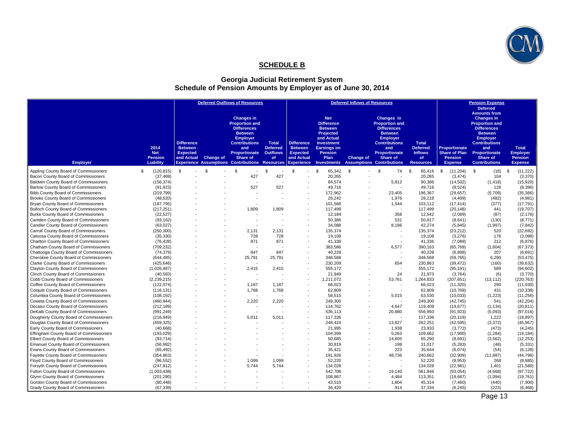

### **SCHEDULE B**

#### **Georgia Judicial Retirement System Schedule of Pension Amounts by Employer as of June 30, 2014**

|                                                                                     |                                                   |                                                                      |                  | <b>Deferred Outflows of Resources</b>                                                                                                                                                                                             |                                                          |                                                                                           |                                                                                                                                                                         | <b>Deferred Inflows of Resources</b> |                                                                                                                                                                                                              |                                                                                    |                                                                           | <b>Pension Expense</b>                                                                                                                                                                                                                     |                                                                     |
|-------------------------------------------------------------------------------------|---------------------------------------------------|----------------------------------------------------------------------|------------------|-----------------------------------------------------------------------------------------------------------------------------------------------------------------------------------------------------------------------------------|----------------------------------------------------------|-------------------------------------------------------------------------------------------|-------------------------------------------------------------------------------------------------------------------------------------------------------------------------|--------------------------------------|--------------------------------------------------------------------------------------------------------------------------------------------------------------------------------------------------------------|------------------------------------------------------------------------------------|---------------------------------------------------------------------------|--------------------------------------------------------------------------------------------------------------------------------------------------------------------------------------------------------------------------------------------|---------------------------------------------------------------------|
| <b>Employer</b>                                                                     | 2014<br><b>Net</b><br><b>Pension</b><br>Liability | <b>Difference</b><br><b>Between</b><br><b>Expected</b><br>and Actual | <b>Change of</b> | <b>Changes in</b><br><b>Proportion and</b><br><b>Differences</b><br><b>Between</b><br><b>Employer</b><br><b>Contributions</b><br>and<br>Proportionate<br><b>Share of</b><br><b>Experience Assumptions Contributions Resources</b> | <b>Total</b><br><b>Deferred</b><br><b>Outflows</b><br>of | <b>Difference</b><br><b>Between</b><br><b>Expected</b><br>and Actual<br><b>Experience</b> | <b>Net</b><br><b>Difference</b><br><b>Between</b><br>Projected<br>and Actual<br><b>Investment</b><br><b>Earnings on</b><br><b>Pension</b><br>Plan<br><b>Investments</b> | <b>Change of</b>                     | Changes in<br><b>Proportion and</b><br><b>Differences</b><br><b>Between</b><br><b>Employer</b><br><b>Contributions</b><br>and<br><b>Proportionate</b><br><b>Share of</b><br><b>Assumptions Contributions</b> | <b>Total</b><br><b>Deferred</b><br><b>Inflows</b><br><b>of</b><br><b>Resources</b> | Proportionate<br><b>Share of Plan</b><br><b>Pension</b><br><b>Expense</b> | <b>Deferred</b><br><b>Amounts from</b><br><b>Changes in</b><br><b>Proportion and</b><br><b>Differences</b><br><b>Between</b><br><b>Employer</b><br><b>Contributions</b><br>and<br><b>Proportionate</b><br>Share of<br><b>Contributions</b> | <b>Total</b><br><b>Employer</b><br><b>Pension</b><br><b>Expense</b> |
| Appling County Board of Commissioners                                               | (120, 815)<br>S.                                  | $\mathbb{S}$                                                         | s.               | $\mathfrak{s}$                                                                                                                                                                                                                    | \$.                                                      | $\mathfrak{s}$                                                                            | <sup>\$</sup><br>65.342                                                                                                                                                 | - \$                                 | $\mathfrak{L}$<br>74                                                                                                                                                                                         | \$<br>65.416                                                                       | \$<br>(11, 204)                                                           | \$<br>(18)                                                                                                                                                                                                                                 | \$<br>(11, 222)                                                     |
| Bacon County Board of Commissioners                                                 | (37, 469)                                         |                                                                      |                  | 427                                                                                                                                                                                                                               | 427                                                      |                                                                                           | 20,265                                                                                                                                                                  |                                      |                                                                                                                                                                                                              | 20,265                                                                             | (3, 474)                                                                  | 104                                                                                                                                                                                                                                        | (3,370)                                                             |
| <b>Baldwin County Board of Commissioners</b>                                        | (156, 374)                                        |                                                                      |                  |                                                                                                                                                                                                                                   | $\overline{\phantom{a}}$                                 |                                                                                           | 84,574                                                                                                                                                                  |                                      | 5,812                                                                                                                                                                                                        | 90,386                                                                             | (14, 502)                                                                 | (1, 418)                                                                                                                                                                                                                                   | (15, 920)                                                           |
| Bartow County Board of Commissioners                                                | (91, 923)                                         |                                                                      |                  | 527                                                                                                                                                                                                                               | 527                                                      |                                                                                           | 49,716                                                                                                                                                                  |                                      |                                                                                                                                                                                                              | 49,716                                                                             | (8,524)                                                                   | 128                                                                                                                                                                                                                                        | (8,396)                                                             |
| <b>Bibb County Board of Commissioners</b>                                           | (319, 799)                                        |                                                                      |                  |                                                                                                                                                                                                                                   |                                                          |                                                                                           | 172,962                                                                                                                                                                 |                                      | 23,405                                                                                                                                                                                                       | 196,367                                                                            | (29, 657)                                                                 | (5,709)                                                                                                                                                                                                                                    | (35, 366)                                                           |
| Brooks County Board of Commissioners                                                | (48, 520)                                         |                                                                      |                  | $\overline{\phantom{a}}$                                                                                                                                                                                                          |                                                          |                                                                                           | 26,242                                                                                                                                                                  |                                      | 1,976                                                                                                                                                                                                        | 28,218                                                                             | (4, 499)                                                                  | (482)                                                                                                                                                                                                                                      | (4,981)                                                             |
|                                                                                     |                                                   |                                                                      |                  |                                                                                                                                                                                                                                   |                                                          |                                                                                           | 101,568                                                                                                                                                                 |                                      |                                                                                                                                                                                                              | 103,112                                                                            |                                                                           | (377)                                                                                                                                                                                                                                      |                                                                     |
| Bryan County Board of Commissioners<br><b>Bulloch County Board of Commissioners</b> | (187, 795)                                        |                                                                      |                  | 1,809                                                                                                                                                                                                                             | 1,809                                                    |                                                                                           | 117,499                                                                                                                                                                 |                                      | 1,544<br>$\overline{\phantom{a}}$                                                                                                                                                                            | 117,499                                                                            | (17, 414)<br>(20, 148)                                                    | 441                                                                                                                                                                                                                                        | (17, 791)                                                           |
| Burke County Board of Commissioners                                                 | (217, 251)<br>(22, 527)                           |                                                                      |                  |                                                                                                                                                                                                                                   |                                                          |                                                                                           | 12.184                                                                                                                                                                  |                                      | 358                                                                                                                                                                                                          | 12.542                                                                             | (2,089)                                                                   | (87)                                                                                                                                                                                                                                       | (19, 707)<br>(2, 176)                                               |
|                                                                                     |                                                   |                                                                      |                  |                                                                                                                                                                                                                                   |                                                          |                                                                                           |                                                                                                                                                                         |                                      |                                                                                                                                                                                                              |                                                                                    |                                                                           |                                                                                                                                                                                                                                            |                                                                     |
| Camden County Board of Commissioners<br>Candler County Board of Commissioners       | (93, 162)                                         |                                                                      |                  | $\overline{\phantom{a}}$                                                                                                                                                                                                          |                                                          |                                                                                           | 50,386<br>34,088                                                                                                                                                        |                                      | 531<br>8,186                                                                                                                                                                                                 | 50,917<br>42,274                                                                   | (8,641)                                                                   | (130)<br>(1,997)                                                                                                                                                                                                                           | (8,771)                                                             |
| Carroll County Board of Commissioners                                               | (63, 027)<br>(250, 300)                           |                                                                      |                  | 2.131                                                                                                                                                                                                                             | 2.131                                                    |                                                                                           | 135,374                                                                                                                                                                 |                                      |                                                                                                                                                                                                              | 135.374                                                                            | (5, 845)<br>(23, 212)                                                     | 520                                                                                                                                                                                                                                        | (7, 842)<br>(22, 692)                                               |
| Catoosa County Board of Commissioners                                               | (35, 330)                                         |                                                                      |                  | 728                                                                                                                                                                                                                               | 728                                                      |                                                                                           | 19,108                                                                                                                                                                  |                                      | $\overline{\phantom{a}}$                                                                                                                                                                                     | 19,108                                                                             | (3,276)                                                                   | 178                                                                                                                                                                                                                                        | (3,098)                                                             |
| Charlton County Board of Commissioners                                              |                                                   |                                                                      |                  | 871                                                                                                                                                                                                                               | 871                                                      |                                                                                           | 41,336                                                                                                                                                                  |                                      |                                                                                                                                                                                                              | 41,336                                                                             |                                                                           | 212                                                                                                                                                                                                                                        |                                                                     |
| Chatham County Board of Commissioners                                               | (76, 428)<br>(709, 232)                           |                                                                      |                  |                                                                                                                                                                                                                                   |                                                          |                                                                                           | 383,586                                                                                                                                                                 |                                      | 6.577                                                                                                                                                                                                        | 390.163                                                                            | (7,088)                                                                   | (1,604)                                                                                                                                                                                                                                    | (6, 876)                                                            |
| Chattooga County Board of Commissioners                                             | (74, 379)                                         |                                                                      |                  | 847                                                                                                                                                                                                                               | 847                                                      |                                                                                           | 40,228                                                                                                                                                                  |                                      |                                                                                                                                                                                                              | 40,228                                                                             | (65, 769)                                                                 | 207                                                                                                                                                                                                                                        | (67, 373)<br>(6,691)                                                |
| Cherokee County Board of Commissioners                                              | (644, 485)                                        |                                                                      |                  | 25,791                                                                                                                                                                                                                            | 25,791                                                   |                                                                                           | 348,568                                                                                                                                                                 |                                      |                                                                                                                                                                                                              | 348,568                                                                            | (6,898)<br>(59, 765)                                                      | 6.290                                                                                                                                                                                                                                      | (53, 475)                                                           |
| Clarke County Board of Commissioners                                                |                                                   |                                                                      |                  |                                                                                                                                                                                                                                   |                                                          |                                                                                           | 230,209                                                                                                                                                                 |                                      | 654                                                                                                                                                                                                          |                                                                                    |                                                                           | (160)                                                                                                                                                                                                                                      | (39, 632)                                                           |
| Clayton County Board of Commissioners                                               | (425, 646)                                        |                                                                      |                  | 2,415                                                                                                                                                                                                                             | 2,415                                                    |                                                                                           | 555,172                                                                                                                                                                 |                                      |                                                                                                                                                                                                              | 230,863<br>555,172                                                                 | (39, 472)                                                                 | 589                                                                                                                                                                                                                                        |                                                                     |
| Clinch County Board of Commissioners                                                | (1,026,487)<br>(40, 583)                          |                                                                      |                  |                                                                                                                                                                                                                                   |                                                          |                                                                                           | 21,949                                                                                                                                                                  |                                      | 24                                                                                                                                                                                                           | 21,973                                                                             | (95, 191)<br>(3,764)                                                      | (6)                                                                                                                                                                                                                                        | (94, 602)<br>(3,770)                                                |
|                                                                                     |                                                   |                                                                      |                  |                                                                                                                                                                                                                                   |                                                          |                                                                                           |                                                                                                                                                                         |                                      |                                                                                                                                                                                                              |                                                                                    |                                                                           |                                                                                                                                                                                                                                            |                                                                     |
| Cobb County Board of Commissioners                                                  | (2, 239, 215)                                     |                                                                      |                  |                                                                                                                                                                                                                                   |                                                          |                                                                                           | 1,211,072                                                                                                                                                               |                                      | 53,761                                                                                                                                                                                                       | 1,264,833                                                                          | (207, 651)                                                                | (13, 112)                                                                                                                                                                                                                                  | (220, 763)                                                          |
| Coffee County Board of Commissioners                                                | (122, 074)                                        |                                                                      |                  | 1,187<br>1.768                                                                                                                                                                                                                    | 1,187                                                    |                                                                                           | 66,023<br>62,809                                                                                                                                                        |                                      |                                                                                                                                                                                                              | 66,023<br>62,809                                                                   | (11,320)                                                                  | 290<br>431                                                                                                                                                                                                                                 | (11,030)<br>(10, 338)                                               |
| <b>Colquitt County Board of Commissioners</b>                                       | (116, 131)                                        |                                                                      |                  |                                                                                                                                                                                                                                   | 1,768                                                    |                                                                                           | 58,515                                                                                                                                                                  |                                      |                                                                                                                                                                                                              | 63,530                                                                             | (10, 769)                                                                 |                                                                                                                                                                                                                                            |                                                                     |
| Columbia County Board of Commissioners                                              | (108, 192)                                        |                                                                      |                  |                                                                                                                                                                                                                                   |                                                          |                                                                                           |                                                                                                                                                                         |                                      | 5,015                                                                                                                                                                                                        |                                                                                    | (10,033)                                                                  | (1, 223)                                                                                                                                                                                                                                   | (11, 256)                                                           |
| Coweta County Board of Commissioners                                                | (460, 944)                                        |                                                                      |                  | 2,220                                                                                                                                                                                                                             | 2,220                                                    |                                                                                           | 249,300                                                                                                                                                                 |                                      |                                                                                                                                                                                                              | 249,300<br>119.409                                                                 | (42, 745)                                                                 | 541                                                                                                                                                                                                                                        | (42, 204)                                                           |
| Decatur County Board of Commissioners                                               | (212, 189)                                        |                                                                      |                  |                                                                                                                                                                                                                                   |                                                          |                                                                                           | 114,762<br>536,113                                                                                                                                                      | ۰                                    | 4,647                                                                                                                                                                                                        | 556,993                                                                            | (19, 677)                                                                 | (1, 134)                                                                                                                                                                                                                                   | (20, 811)                                                           |
| DeKalb County Board of Commissioners<br>Dougherty County Board of Commissioners     | (991, 249)<br>(216, 949)                          |                                                                      |                  | 5.011                                                                                                                                                                                                                             | 5.011                                                    |                                                                                           | 117,336                                                                                                                                                                 |                                      | 20,880                                                                                                                                                                                                       | 117,336                                                                            | (91, 923)<br>(20, 119)                                                    | (5,093)<br>1,222                                                                                                                                                                                                                           | (97,016)<br>(18, 897)                                               |
| Douglas County Board of Commissioners                                               | (459, 325)                                        |                                                                      |                  |                                                                                                                                                                                                                                   |                                                          |                                                                                           | 248,424                                                                                                                                                                 |                                      | 13,827                                                                                                                                                                                                       | 262,251                                                                            | (42, 595)                                                                 | (3, 372)                                                                                                                                                                                                                                   | (45, 967)                                                           |
| Early County Board of Commissioners                                                 | (40, 668)                                         |                                                                      |                  |                                                                                                                                                                                                                                   |                                                          |                                                                                           | 21,995                                                                                                                                                                  |                                      | 1,938                                                                                                                                                                                                        | 23,933                                                                             | (3,772)                                                                   | (473)                                                                                                                                                                                                                                      |                                                                     |
| Effingham County Board of Commissioners                                             | (193, 029)                                        |                                                                      |                  |                                                                                                                                                                                                                                   |                                                          |                                                                                           | 104,399                                                                                                                                                                 |                                      | 5,263                                                                                                                                                                                                        | 109.662                                                                            | (17,900)                                                                  | (1, 284)                                                                                                                                                                                                                                   | (4, 245)<br>(19, 184)                                               |
| Elbert County Board of Commissioners                                                | (93, 714)                                         |                                                                      |                  |                                                                                                                                                                                                                                   |                                                          |                                                                                           | 50,685                                                                                                                                                                  |                                      | 14,605                                                                                                                                                                                                       | 65,290                                                                             | (8,691)                                                                   | (3, 562)                                                                                                                                                                                                                                   | (12, 253)                                                           |
| <b>Emanuel County Board of Commissioners</b>                                        |                                                   |                                                                      |                  |                                                                                                                                                                                                                                   |                                                          |                                                                                           | 30,819                                                                                                                                                                  |                                      | 198                                                                                                                                                                                                          | 31,017                                                                             | (5,283)                                                                   | (48)                                                                                                                                                                                                                                       | (5, 331)                                                            |
| Evans County Board of Commissioners                                                 | (56, 982)<br>(65, 492)                            |                                                                      |                  |                                                                                                                                                                                                                                   |                                                          |                                                                                           | 35,421                                                                                                                                                                  |                                      | 223                                                                                                                                                                                                          | 35.644                                                                             | (6,074)                                                                   | (54)                                                                                                                                                                                                                                       | (6, 128)                                                            |
| Fayette County Board of Commissioners                                               | (354, 863)                                        |                                                                      |                  |                                                                                                                                                                                                                                   |                                                          |                                                                                           | 191,926                                                                                                                                                                 |                                      | 48,736                                                                                                                                                                                                       | 240,662                                                                            | (32,909)                                                                  | (11, 887)                                                                                                                                                                                                                                  | (44, 796)                                                           |
| Floyd County Board of Commissioners                                                 | (96, 552)                                         |                                                                      |                  | 1.099                                                                                                                                                                                                                             | 1.099                                                    |                                                                                           | 52,220                                                                                                                                                                  |                                      |                                                                                                                                                                                                              | 52.220                                                                             | (8,953)                                                                   | 268                                                                                                                                                                                                                                        | (8,685)                                                             |
| Forsyth County Board of Commissioners                                               | (247, 812)                                        |                                                                      |                  | 5,744                                                                                                                                                                                                                             | 5,744                                                    |                                                                                           | 134,028                                                                                                                                                                 |                                      |                                                                                                                                                                                                              | 134,028                                                                            | (22, 981)                                                                 | 1,401                                                                                                                                                                                                                                      | (21, 580)                                                           |
| Fulton County Board of Commissioners                                                | (1,003,438)                                       |                                                                      |                  |                                                                                                                                                                                                                                   |                                                          | $\overline{\phantom{a}}$                                                                  | 542,706                                                                                                                                                                 | $\overline{\phantom{a}}$             | 19,140                                                                                                                                                                                                       | 561,846                                                                            | (93, 054)                                                                 | (4,668)                                                                                                                                                                                                                                    | (97, 722)                                                           |
| Glynn County Board of Commissioners                                                 |                                                   |                                                                      |                  |                                                                                                                                                                                                                                   |                                                          |                                                                                           | 108,867                                                                                                                                                                 |                                      | 4,484                                                                                                                                                                                                        | 113,351                                                                            |                                                                           |                                                                                                                                                                                                                                            | (19, 761)                                                           |
| Gordon County Board of Commissioners                                                | (201, 290)<br>(80, 448)                           |                                                                      |                  |                                                                                                                                                                                                                                   |                                                          |                                                                                           | 43,510                                                                                                                                                                  |                                      | 1.804                                                                                                                                                                                                        | 45.314                                                                             | (18, 667)<br>(7, 460)                                                     | (1,094)<br>(440)                                                                                                                                                                                                                           | (7,900)                                                             |
|                                                                                     |                                                   |                                                                      |                  |                                                                                                                                                                                                                                   |                                                          |                                                                                           | 36,420                                                                                                                                                                  |                                      | 914                                                                                                                                                                                                          | 37,334                                                                             | (6, 245)                                                                  | (223)                                                                                                                                                                                                                                      | (6, 468)                                                            |
| Grady County Board of Commissioners                                                 | (67, 339)                                         |                                                                      |                  |                                                                                                                                                                                                                                   |                                                          |                                                                                           |                                                                                                                                                                         |                                      |                                                                                                                                                                                                              |                                                                                    |                                                                           |                                                                                                                                                                                                                                            |                                                                     |

Page 13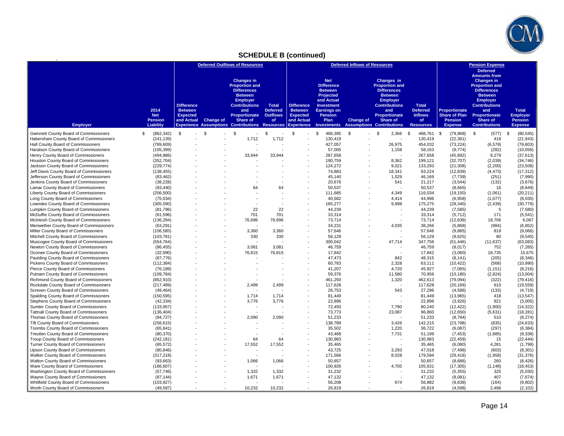

# **SCHEDULE B (continued)**

|                                                                                |                         | <b>Deferred Outflows of Resources</b> |                  |                                                       | <b>Deferred Inflows of Resources</b> |                                     |                                         |                  | <b>Pension Expense</b>               |                                 |                        |                                                                                      |                        |
|--------------------------------------------------------------------------------|-------------------------|---------------------------------------|------------------|-------------------------------------------------------|--------------------------------------|-------------------------------------|-----------------------------------------|------------------|--------------------------------------|---------------------------------|------------------------|--------------------------------------------------------------------------------------|------------------------|
|                                                                                |                         |                                       |                  | <b>Changes in</b><br><b>Proportion and</b>            |                                      |                                     | <b>Net</b><br><b>Difference</b>         |                  | Changes in<br><b>Proportion and</b>  |                                 |                        | <b>Deferred</b><br><b>Amounts from</b><br><b>Changes in</b><br><b>Proportion and</b> |                        |
|                                                                                |                         |                                       |                  | <b>Differences</b><br><b>Between</b>                  |                                      |                                     | <b>Between</b><br>Projected             |                  | <b>Differences</b><br><b>Between</b> |                                 |                        | <b>Differences</b><br><b>Between</b>                                                 |                        |
|                                                                                |                         |                                       |                  | <b>Employer</b>                                       |                                      |                                     | and Actual                              |                  | <b>Employer</b>                      |                                 |                        | <b>Employer</b>                                                                      |                        |
| 2014                                                                           |                         | <b>Difference</b><br><b>Between</b>   |                  | <b>Contributions</b><br>and                           | <b>Total</b><br><b>Deferred</b>      | <b>Difference</b><br><b>Between</b> | <b>Investment</b><br><b>Earnings on</b> |                  | <b>Contributions</b><br>and          | <b>Total</b><br><b>Deferred</b> | <b>Proportionate</b>   | <b>Contributions</b><br>and                                                          | <b>Total</b>           |
| <b>Net</b>                                                                     |                         | <b>Expected</b>                       |                  | Proportionate                                         | <b>Outflows</b>                      | <b>Expected</b>                     | <b>Pension</b>                          |                  | <b>Proportionate</b>                 | <b>Inflows</b>                  | <b>Share of Plan</b>   | Proportionate                                                                        | <b>Employer</b>        |
| <b>Pension</b>                                                                 |                         | and Actual                            | <b>Change of</b> | Share of                                              | of                                   | and Actual                          | Plan                                    | <b>Change of</b> | Share of                             | of                              | Pension                | Share of                                                                             | <b>Pension</b>         |
| <b>Employer</b><br>Liability                                                   |                         |                                       |                  | <b>Experience Assumptions Contributions Resources</b> |                                      | <b>Experience</b>                   | <b>Investments</b>                      |                  | <b>Assumptions Contributions</b>     | <b>Resources</b>                | <b>Expense</b>         | <b>Contributions</b>                                                                 | <b>Expense</b>         |
| Gwinnett County Board of Commissioners<br>\$                                   | (862, 342)              | \$                                    | \$               | $\mathbf{s}$                                          | \$                                   | $\mathfrak{s}$                      | 466,395<br>$\mathfrak{s}$               | \$               | 2,366<br>\$.                         | $\mathbb{S}$<br>468,761 \$      | (79, 968)              | \$<br>$(577)$ \$                                                                     | (80, 545)              |
| Habersham County Board of Commissioners                                        | (241, 139)              |                                       |                  | 1,712                                                 | 1,712                                |                                     | 130.419                                 |                  |                                      | 130.419                         | (22, 361)              | 418                                                                                  | (21, 943)              |
| Hall County Board of Commissioners                                             | (789, 609)              |                                       |                  |                                                       |                                      |                                     | 427,057                                 |                  | 26,975                               | 454,032                         | (73, 224)              | (6, 579)                                                                             | (79, 803)              |
| Haralson County Board of Commissioners                                         | (105, 399)              |                                       |                  |                                                       |                                      |                                     | 57,005                                  |                  | 1,158                                | 58,163                          | (9,774)                | (282)                                                                                | (10, 056)              |
| Henry County Board of Commissioners                                            | (494, 886)              |                                       |                  | 33,944                                                | 33,944                               |                                     | 267,658                                 |                  |                                      | 267,658                         | (45, 892)              | 8,279                                                                                | (37, 613)              |
| Houston County Board of Commissioners                                          | (352, 704)              |                                       |                  |                                                       |                                      |                                     | 190,759                                 |                  | 8,362                                | 199,121                         | (32, 707)              | (2,039)                                                                              | (34, 746)              |
| Jackson County Board of Commissioners                                          | (229, 774)              |                                       |                  |                                                       |                                      |                                     | 124,272                                 |                  | 9,021                                | 133,293                         | (21, 308)              | (2,200)                                                                              | (23, 508)              |
| Jeff Davis County Board of Commissioners                                       | (138, 455)              |                                       |                  |                                                       |                                      |                                     | 74,883                                  |                  | 18,341                               | 93,224                          | (12, 839)              | (4, 473)                                                                             | (17, 312)              |
| Jefferson County Board of Commissioners                                        | (83, 462)               |                                       |                  |                                                       |                                      |                                     | 45,140                                  |                  | 1,029                                | 46,169                          | (7, 739)               | (251)                                                                                | (7,990)                |
| Jenkins County Board of Commissioners                                          | (38, 228)               |                                       |                  |                                                       |                                      |                                     | 20,676                                  |                  | 541                                  | 21,217                          | (3, 544)               | (132)                                                                                | (3,676)                |
| Lamar County Board of Commissioners                                            | (93, 440)               |                                       |                  | 64                                                    | 64                                   |                                     | 50,537                                  |                  |                                      | 50.537                          | (8,665)                | 16                                                                                   | (8,649)                |
| Liberty County Board of Commissioners                                          | (206, 500)              |                                       |                  |                                                       |                                      |                                     | 111,685                                 |                  | 4,349                                | 116,034                         | (19, 150)              | (1,061)                                                                              | (20, 211)              |
| Long County Board of Commissioners                                             | (75, 034)               |                                       |                  |                                                       |                                      |                                     | 40,582                                  |                  | 4,414                                | 44.996                          | (6,958)                | (1,077)                                                                              | (8,035)                |
| Lowndes County Board of Commissioners                                          | (305, 590)              |                                       |                  |                                                       |                                      |                                     | 165,277                                 |                  | 9,998                                | 175,275                         | (28, 340)              | (2, 439)                                                                             | (30, 779)              |
| Lumpkin County Board of Commissioners                                          | (81,796)                |                                       |                  | 22                                                    | 22                                   |                                     | 44,239                                  |                  |                                      | 44,239                          | (7, 585)               | 5                                                                                    | (7,580)                |
| McDuffie County Board of Commissioners                                         | (61, 596)               |                                       |                  | 701                                                   | 701                                  |                                     | 33,314                                  |                  | $\sim$                               | 33,314                          | (5, 712)               | 171                                                                                  | (5,541)                |
| McIntosh County Board of Commissioners                                         | (136, 294)              |                                       |                  | 76,696                                                | 76,696                               |                                     | 73,714                                  |                  |                                      | 73,714                          | (12, 639)              | 18,706                                                                               | 6,067                  |
| Meriwether County Board of Commissioners                                       | (63, 291)               |                                       |                  |                                                       |                                      |                                     | 34,231                                  |                  | 4,035                                | 38.266                          | (5,868)                | (984)                                                                                | (6, 852)               |
| Miller County Board of Commissioners                                           | (106, 585)              |                                       |                  | 3,360                                                 | 3,360                                |                                     | 57,646                                  |                  |                                      | 57,646                          | (9,885)                | 819                                                                                  | (9,066)                |
| Mitchell County Board of Commissioners                                         | (103, 781)              |                                       |                  | 330                                                   | 330                                  |                                     | 56,129                                  |                  |                                      | 56,129                          | (9,625)                | 80                                                                                   | (9, 545)               |
| Muscogee County Board of Commissioners                                         | (554, 764)              |                                       |                  |                                                       |                                      |                                     | 300.042                                 |                  | 47,714                               | 347.756                         | (51, 446)              | (11, 637)                                                                            | (63,083)               |
| Newton County Board of Commissioners                                           | (86, 455)               |                                       |                  | 3,081                                                 | 3,081                                |                                     | 46,759                                  |                  |                                      | 46,759                          | (8,017)                | 752                                                                                  | (7, 265)               |
| Oconee County Board of Commissioners                                           | (32,990)                |                                       |                  | 76,815                                                | 76,815                               |                                     | 17,842                                  |                  |                                      | 17,842                          | (3,060)                | 18,735                                                                               | 15,675                 |
| Paulding County Board of Commissioners                                         | (87, 776)               |                                       |                  |                                                       |                                      |                                     | 47,473                                  |                  | 842                                  | 48,315                          | (8, 141)               | (205)                                                                                | (8, 346)               |
| Pickens County Board of Commissioners                                          | (112, 384)              |                                       |                  |                                                       |                                      |                                     | 60,783                                  |                  | 2,328                                | 63,111                          | (10, 422)              | (568)                                                                                | (10, 990)              |
| Pierce County Board of Commissioners                                           | (76, 189)               |                                       |                  |                                                       |                                      |                                     | 41,207                                  |                  | 4,720                                | 45,927                          | (7,065)                | (1, 151)                                                                             | (8, 216)               |
| Putnam County Board of Commissioners                                           | (109, 784)              |                                       |                  |                                                       |                                      |                                     | 59,376                                  |                  | 11,580                               | 70,956                          | (10, 180)              | (2,824)                                                                              | (13,004)               |
| Richmond County Board of Commissioners                                         | (852, 910)              |                                       |                  |                                                       |                                      |                                     | 461,293                                 |                  | 1,320                                | 462,613                         | (79, 094)              | (322)                                                                                | (79, 416)              |
| Rockdale County Board of Commissioners                                         | (217, 489)              |                                       |                  | 2,499                                                 | 2,499                                |                                     | 117.628                                 |                  |                                      | 117.628                         | (20, 169)              | 610                                                                                  | (19, 559)              |
| Screven County Board of Commissioners                                          | (49, 464)               |                                       |                  |                                                       |                                      |                                     | 26,753                                  |                  | 543                                  | 27,296                          | (4,586)                | (133)                                                                                | (4, 719)               |
| Spalding County Board of Commissioners                                         | (150, 595)              |                                       |                  | 1,714                                                 | 1,714<br>3.776                       |                                     | 81,449<br>22,896                        |                  |                                      | 81,449<br>22.896                | (13,965)               | 418<br>921                                                                           | (13, 547)<br>(3,005)   |
| Stephens County Board of Commissioners<br>Sumter County Board of Commissioners | (42, 334)<br>(133, 957) |                                       |                  | 3,776                                                 |                                      |                                     | 72,450                                  |                  | 7,790                                | 80,240                          | (3,926)                | (1,900)                                                                              |                        |
| <b>Tattnall County Board of Commissioners</b>                                  | (136, 404)              |                                       |                  |                                                       |                                      |                                     | 73,773                                  |                  | 23,087                               | 96,860                          | (12, 422)<br>(12, 650) | (5,631)                                                                              | (14, 322)<br>(18, 281) |
| Thomas County Board of Commissioners                                           | (94, 727)               |                                       |                  | 2,090                                                 | 2,090                                |                                     | 51,233                                  |                  |                                      | 51,233                          | (8, 784)               | 510                                                                                  | (8, 274)               |
| Tift County Board of Commissioners                                             | (256, 615)              |                                       |                  |                                                       |                                      |                                     | 138,789                                 |                  | 3.426                                | 142.215                         | (23, 798)              | (835)                                                                                | (24, 633)              |
| Toombs County Board of Commissioners                                           | (65, 641)               |                                       |                  |                                                       |                                      |                                     | 35,502                                  |                  | 1,220                                | 36,722                          | (6,087)                | (297)                                                                                | (6, 384)               |
| Treutlen County Board of Commissioners                                         | (80, 370)               |                                       |                  |                                                       |                                      |                                     | 43,468                                  |                  | 7,731                                | 51,199                          | (7, 453)               | (1,885)                                                                              | (9, 338)               |
| Troup County Board of Commissioners                                            | (242, 181)              |                                       |                  | 64                                                    | 64                                   |                                     | 130,983                                 |                  |                                      | 130,983                         | (22, 459)              | 15                                                                                   | (22, 444)              |
| Turner County Board of Commissioners                                           | (65, 572)               |                                       |                  | 17,552                                                | 17,552                               |                                     | 35.465                                  |                  |                                      | 35,465                          | (6,080)                | 4,281                                                                                | (1,799)                |
| Upson County Board of Commissioners                                            | (80, 846)               |                                       |                  |                                                       |                                      |                                     | 43,725                                  |                  | 3,293                                | 47,018                          | (7, 498)               | (803)                                                                                | (8, 301)               |
| Walker County Board of Commissioners                                           | (317, 218)              |                                       |                  | $\overline{\phantom{a}}$                              |                                      |                                     | 171,566                                 |                  | 8,028                                | 179,594                         | (29, 418)              | (1,958)                                                                              | (31, 376)              |
| Walton County Board of Commissioners                                           | (93,663)                |                                       |                  | 1,066                                                 | 1.066                                |                                     | 50.657                                  |                  |                                      | 50,657                          | (8,686)                | 260                                                                                  | (8, 426)               |
| Ware County Board of Commissioners                                             | (186, 607)              |                                       |                  |                                                       |                                      |                                     | 100,926                                 |                  | 4,705                                | 105,631                         | (17, 305)              | (1, 148)                                                                             | (18, 453)              |
| Washington County Board of Commissioners                                       | (57, 746)               |                                       |                  | 1,332                                                 | 1,332                                |                                     | 31,232                                  |                  |                                      | 31,232                          | (5, 355)               | 325                                                                                  | (5,030)                |
| Wayne County Board of Commissioners                                            | (87, 144)               |                                       |                  | 1,671                                                 | 1,671                                |                                     | 47,132                                  |                  |                                      | 47,132                          | (8,081)                | 407                                                                                  | (7,674)                |
| Whitfield County Board of Commissioners                                        | (103, 927)              |                                       |                  |                                                       |                                      |                                     | 56,208                                  |                  | 674                                  | 56,882                          | (9,638)                | (164)                                                                                | (9,802)                |
| Worth County Board of Commissioners                                            | (49, 587)               |                                       |                  | 10,232                                                | 10,232                               |                                     | 26,819                                  |                  |                                      | 26.819                          | (4,598)                | 2,496                                                                                | (2, 102)               |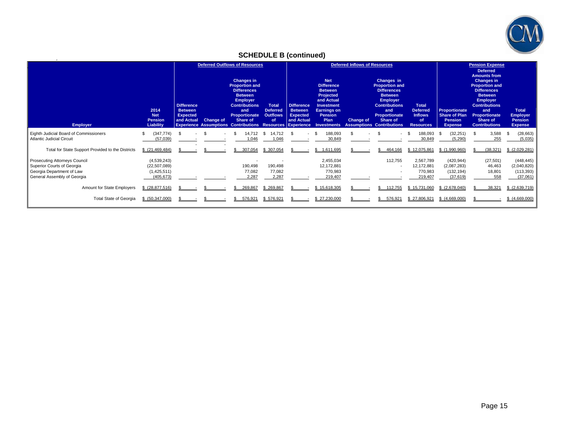

# **SCHEDULE B (continued)**

| <b>Employer</b>                                                                                                                | 2014<br><b>Net</b><br><b>Pension</b><br>Liability          | <b>Difference</b><br><b>Between</b><br><b>Expected</b><br>and Actual | <b>Change of</b> | <b>Deferred Outflows of Resources</b><br><b>Changes in</b><br><b>Proportion and</b><br><b>Differences</b><br><b>Between</b><br><b>Employer</b><br><b>Contributions</b><br>and<br>Proportionate<br>Share of<br><b>Experience Assumptions Contributions Resources Experience</b> | <b>Total</b><br><b>Deferred</b><br><b>Outflows</b><br><b>of</b> | <b>Difference</b><br><b>Between</b><br><b>Expected</b><br>and Actual | <b>Net</b><br><b>Difference</b><br><b>Between</b><br>Projected<br>and Actual<br>Investment<br><b>Earnings on</b><br><b>Pension</b><br>Plan<br><b>Investments</b> | Deferred Inflows of Resources<br><b>Change of</b> | Changes in<br><b>Proportion and</b><br><b>Differences</b><br><b>Between</b><br><b>Employer</b><br><b>Contributions</b><br>and<br>Proportionate<br>Share of<br><b>Assumptions Contributions</b> | <b>Total</b><br><b>Deferred</b><br><b>Inflows</b><br><b>of</b><br><b>Resources</b> | Proportionate<br><b>Share of Plan</b><br><b>Pension</b><br><b>Expense</b> | <b>Pension Expense</b><br><b>Deferred</b><br><b>Amounts from</b><br><b>Changes in</b><br><b>Proportion and</b><br><b>Differences</b><br><b>Between</b><br><b>Employer</b><br><b>Contributions</b><br>and<br><b>Proportionate</b><br>Share of<br><b>Contributions</b> | <b>Total</b><br><b>Employer</b><br><b>Pension</b><br><b>Expense</b> |
|--------------------------------------------------------------------------------------------------------------------------------|------------------------------------------------------------|----------------------------------------------------------------------|------------------|--------------------------------------------------------------------------------------------------------------------------------------------------------------------------------------------------------------------------------------------------------------------------------|-----------------------------------------------------------------|----------------------------------------------------------------------|------------------------------------------------------------------------------------------------------------------------------------------------------------------|---------------------------------------------------|------------------------------------------------------------------------------------------------------------------------------------------------------------------------------------------------|------------------------------------------------------------------------------------|---------------------------------------------------------------------------|----------------------------------------------------------------------------------------------------------------------------------------------------------------------------------------------------------------------------------------------------------------------|---------------------------------------------------------------------|
| Eighth Judicial Board of Commissioners<br><b>Atlantic Judicial Circuit</b>                                                     | (347, 774)<br>(57,039)                                     | -\$                                                                  |                  | 14,712<br>.046                                                                                                                                                                                                                                                                 | \$<br>14,712<br>1.046                                           |                                                                      | 188,093<br>\$.<br>30,849                                                                                                                                         |                                                   | \$                                                                                                                                                                                             | 188,093<br>- \$<br>30,849                                                          | (32, 251)<br>- \$<br>(5,290)                                              | 3,588<br>255                                                                                                                                                                                                                                                         | (28, 663)<br>- \$<br>(5,035)                                        |
| Total for State Support Provided to the Districts                                                                              | \$ (21, 469, 484)                                          |                                                                      |                  | 307,054                                                                                                                                                                                                                                                                        | \$ 307,054                                                      |                                                                      | 1.611.695<br>\$.                                                                                                                                                 |                                                   | 464.166                                                                                                                                                                                        | \$12,075,861                                                                       | \$(1,990,960)                                                             | (38, 321)                                                                                                                                                                                                                                                            | \$(2,029,281)                                                       |
| <b>Prosecuting Attorneys Council</b><br>Superior Courts of Georgia<br>Georgia Department of Law<br>General Assembly of Georgia | (4,539,243)<br>(22, 507, 089)<br>(1,425,511)<br>(405, 673) |                                                                      |                  | 190,498<br>77,082<br>2,287                                                                                                                                                                                                                                                     | 190,498<br>77,082<br>2,287                                      |                                                                      | 2,455,034<br>12,172,881<br>770,983<br>219,407                                                                                                                    |                                                   | 112,755                                                                                                                                                                                        | 2,567,789<br>12,172,881<br>770,983<br>219,407                                      | (420, 944)<br>(2,087,283)<br>(132, 194)<br>(37,619)                       | (27, 501)<br>46,463<br>18,801<br>558                                                                                                                                                                                                                                 | (448, 445)<br>(2,040,820)<br>(113, 393)<br>(37,061)                 |
| Amount for State Employers                                                                                                     | $$$ $(28,877,516)$                                         |                                                                      |                  | 269,867                                                                                                                                                                                                                                                                        | \$269,867                                                       |                                                                      | \$15,618,305                                                                                                                                                     |                                                   | 112,755                                                                                                                                                                                        | \$15,731,060                                                                       | (2,678,040)                                                               | 38,321                                                                                                                                                                                                                                                               | \$(2,639,719)                                                       |
| <b>Total State of Georgia</b>                                                                                                  | \$ (50,347,000)                                            |                                                                      |                  | 576.921                                                                                                                                                                                                                                                                        | \$576.921                                                       |                                                                      | \$27.230,000                                                                                                                                                     |                                                   | 576.921                                                                                                                                                                                        | \$27.806.921                                                                       | \$ (4.669.000)                                                            |                                                                                                                                                                                                                                                                      | \$(4,669,000)                                                       |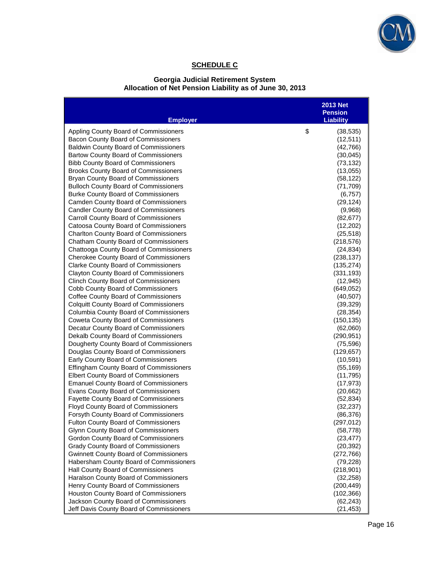

# **SCHEDULE C**

#### **Georgia Judicial Retirement System Allocation of Net Pension Liability as of June 30, 2013**

| <b>Employer</b>                                                                      | <b>2013 Net</b><br><b>Pension</b><br><b>Liability</b> |
|--------------------------------------------------------------------------------------|-------------------------------------------------------|
| Appling County Board of Commissioners                                                | \$<br>(38, 535)                                       |
| Bacon County Board of Commissioners                                                  | (12, 511)                                             |
| <b>Baldwin County Board of Commissioners</b>                                         | (42, 766)                                             |
| Bartow County Board of Commissioners                                                 | (30, 045)                                             |
| <b>Bibb County Board of Commissioners</b>                                            | (73, 132)                                             |
| <b>Brooks County Board of Commissioners</b>                                          | (13,055)                                              |
| Bryan County Board of Commissioners                                                  | (58, 122)                                             |
| <b>Bulloch County Board of Commissioners</b>                                         | (71, 709)                                             |
| <b>Burke County Board of Commissioners</b>                                           | (6, 757)                                              |
| Camden County Board of Commissioners                                                 | (29, 124)                                             |
| <b>Candler County Board of Commissioners</b>                                         | (9,968)                                               |
| Carroll County Board of Commissioners                                                | (82, 677)                                             |
| Catoosa County Board of Commissioners                                                | (12, 202)                                             |
| <b>Charlton County Board of Commissioners</b>                                        | (25, 518)                                             |
| <b>Chatham County Board of Commissioners</b>                                         | (218, 576)                                            |
| Chattooga County Board of Commissioners                                              | (24, 834)                                             |
| Cherokee County Board of Commissioners                                               | (238, 137)                                            |
| <b>Clarke County Board of Commissioners</b>                                          | (135, 274)                                            |
| <b>Clayton County Board of Commissioners</b>                                         | (331, 193)                                            |
| <b>Clinch County Board of Commissioners</b>                                          | (12, 945)                                             |
| Cobb County Board of Commissioners                                                   | (649, 052)                                            |
| Coffee County Board of Commissioners                                                 | (40, 507)                                             |
| <b>Colquitt County Board of Commissioners</b>                                        | (39, 329)                                             |
| Columbia County Board of Commissioners                                               | (28, 354)                                             |
| <b>Coweta County Board of Commissioners</b><br>Decatur County Board of Commissioners | (150, 135)<br>(62,060)                                |
| Dekalb County Board of Commissioners                                                 | (290, 951)                                            |
| Dougherty County Board of Commissioners                                              | (75, 596)                                             |
| Douglas County Board of Commissioners                                                | (129, 657)                                            |
| Early County Board of Commissioners                                                  | (10, 591)                                             |
| Effingham County Board of Commissioners                                              | (55, 169)                                             |
| <b>Elbert County Board of Commissioners</b>                                          | (11, 795)                                             |
| <b>Emanuel County Board of Commissioners</b>                                         | (17, 973)                                             |
| Evans County Board of Commissioners                                                  | (20, 662)                                             |
| Fayette County Board of Commissioners                                                | (52, 834)                                             |
| Floyd County Board of Commissioners                                                  | (32, 237)                                             |
| Forsyth County Board of Commissioners                                                | (86, 376)                                             |
| <b>Fulton County Board of Commissioners</b>                                          | (297, 012)                                            |
| Glynn County Board of Commissioners                                                  | (58, 778)                                             |
| Gordon County Board of Commissioners                                                 | (23, 477)                                             |
| <b>Grady County Board of Commissioners</b>                                           | (20, 392)                                             |
| <b>Gwinnett County Board of Commissioners</b>                                        | (272, 766)                                            |
| Habersham County Board of Commissioners                                              | (79, 228)                                             |
| Hall County Board of Commissioners                                                   | (218,901)                                             |
| Haralson County Board of Commissioners                                               | (32, 258)                                             |
| Henry County Board of Commissioners                                                  | (200, 449)                                            |
| Houston County Board of Commissioners                                                | (102, 366)                                            |
| Jackson County Board of Commissioners                                                | (62, 243)                                             |
| Jeff Davis County Board of Commissioners                                             | (21, 453)                                             |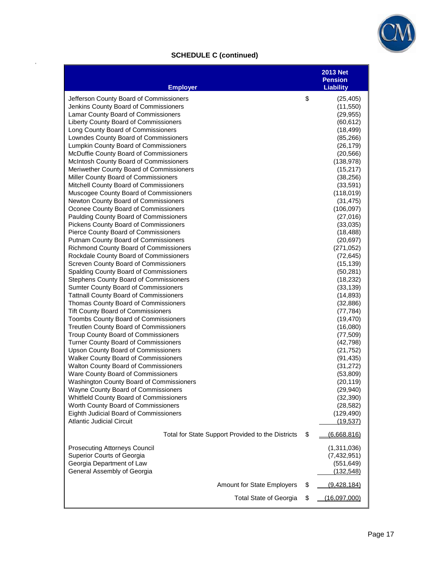

# **SCHEDULE C (continued)**

| <b>Employer</b>                                                                                                                                                                                                                                                                                                                                                                                                                                                                                                                                                                                                                                                                                                                                                                                                                                                                                                                                                                                                                                                                                                                                                                                                                                                                                                                                                                                                                                                                                                                                                                                                            | <b>2013 Net</b><br><b>Pension</b><br><b>Liability</b>                                                                                                                                                                                                                                                                                                                                                                                                                                              |
|----------------------------------------------------------------------------------------------------------------------------------------------------------------------------------------------------------------------------------------------------------------------------------------------------------------------------------------------------------------------------------------------------------------------------------------------------------------------------------------------------------------------------------------------------------------------------------------------------------------------------------------------------------------------------------------------------------------------------------------------------------------------------------------------------------------------------------------------------------------------------------------------------------------------------------------------------------------------------------------------------------------------------------------------------------------------------------------------------------------------------------------------------------------------------------------------------------------------------------------------------------------------------------------------------------------------------------------------------------------------------------------------------------------------------------------------------------------------------------------------------------------------------------------------------------------------------------------------------------------------------|----------------------------------------------------------------------------------------------------------------------------------------------------------------------------------------------------------------------------------------------------------------------------------------------------------------------------------------------------------------------------------------------------------------------------------------------------------------------------------------------------|
| Jefferson County Board of Commissioners<br>Jenkins County Board of Commissioners<br>Lamar County Board of Commissioners<br>Liberty County Board of Commissioners<br>Long County Board of Commissioners<br>Lowndes County Board of Commissioners<br>Lumpkin County Board of Commissioners<br>McDuffie County Board of Commissioners<br>McIntosh County Board of Commissioners<br>Meriwether County Board of Commissioners<br>Miller County Board of Commissioners<br>Mitchell County Board of Commissioners<br>Muscogee County Board of Commissioners<br>Newton County Board of Commissioners<br>Oconee County Board of Commissioners<br>Paulding County Board of Commissioners<br><b>Pickens County Board of Commissioners</b><br>Pierce County Board of Commissioners<br><b>Putnam County Board of Commissioners</b><br>Richmond County Board of Commissioners<br>Rockdale County Board of Commissioners<br>Screven County Board of Commissioners<br>Spalding County Board of Commissioners<br>Stephens County Board of Commissioners<br><b>Sumter County Board of Commissioners</b><br><b>Tattnall County Board of Commissioners</b><br>Thomas County Board of Commissioners<br><b>Tift County Board of Commissioners</b><br><b>Toombs County Board of Commissioners</b><br>Treutlen County Board of Commissioners<br>Troup County Board of Commissioners<br>Turner County Board of Commissioners<br><b>Upson County Board of Commissioners</b><br>Walker County Board of Commissioners<br><b>Walton County Board of Commissioners</b><br>Ware County Board of Commissioners<br>Washington County Board of Commissioners | \$<br>(25, 405)<br>(11, 550)<br>(29, 955)<br>(60, 612)<br>(18, 499)<br>(85, 266)<br>(26, 179)<br>(20, 566)<br>(138, 978)<br>(15, 217)<br>(38, 256)<br>(33, 591)<br>(118,019)<br>(31, 475)<br>(106, 097)<br>(27,016)<br>(33,035)<br>(18, 488)<br>(20, 697)<br>(271, 052)<br>(72, 645)<br>(15, 139)<br>(50, 281)<br>(18, 232)<br>(33, 139)<br>(14, 893)<br>(32, 886)<br>(77, 784)<br>(19, 470)<br>(16,080)<br>(77, 509)<br>(42, 798)<br>(21, 752)<br>(91, 435)<br>(31, 272)<br>(53,809)<br>(20, 119) |
| Wayne County Board of Commissioners<br>Whitfield County Board of Commissioners<br>Worth County Board of Commissioners<br>Eighth Judicial Board of Commissioners<br><b>Atlantic Judicial Circuit</b>                                                                                                                                                                                                                                                                                                                                                                                                                                                                                                                                                                                                                                                                                                                                                                                                                                                                                                                                                                                                                                                                                                                                                                                                                                                                                                                                                                                                                        | (29, 940)<br>(32, 390)<br>(28, 582)<br>(129, 490)<br>(19, 537)                                                                                                                                                                                                                                                                                                                                                                                                                                     |
| Total for State Support Provided to the Districts                                                                                                                                                                                                                                                                                                                                                                                                                                                                                                                                                                                                                                                                                                                                                                                                                                                                                                                                                                                                                                                                                                                                                                                                                                                                                                                                                                                                                                                                                                                                                                          | \$<br>(6,668,816)                                                                                                                                                                                                                                                                                                                                                                                                                                                                                  |
| <b>Prosecuting Attorneys Council</b><br>Superior Courts of Georgia<br>Georgia Department of Law<br>General Assembly of Georgia                                                                                                                                                                                                                                                                                                                                                                                                                                                                                                                                                                                                                                                                                                                                                                                                                                                                                                                                                                                                                                                                                                                                                                                                                                                                                                                                                                                                                                                                                             | (1,311,036)<br>(7,432,951)<br>(551, 649)<br>(132, 548)                                                                                                                                                                                                                                                                                                                                                                                                                                             |
| Amount for State Employers                                                                                                                                                                                                                                                                                                                                                                                                                                                                                                                                                                                                                                                                                                                                                                                                                                                                                                                                                                                                                                                                                                                                                                                                                                                                                                                                                                                                                                                                                                                                                                                                 | \$<br>(9,428,184)                                                                                                                                                                                                                                                                                                                                                                                                                                                                                  |
| <b>Total State of Georgia</b>                                                                                                                                                                                                                                                                                                                                                                                                                                                                                                                                                                                                                                                                                                                                                                                                                                                                                                                                                                                                                                                                                                                                                                                                                                                                                                                                                                                                                                                                                                                                                                                              | \$<br>(16,097,000)                                                                                                                                                                                                                                                                                                                                                                                                                                                                                 |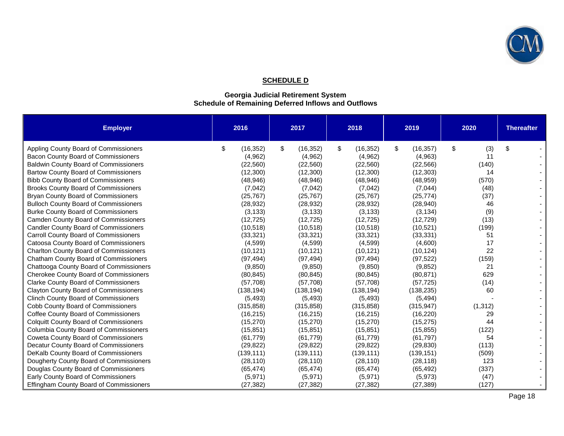

## **SCHEDULE D**

#### **Georgia Judicial Retirement System Schedule of Remaining Deferred Inflows and Outflows**

| <b>Employer</b>                               | 2016            | 2017            | 2018            | 2019            | 2020      | <b>Thereafter</b> |
|-----------------------------------------------|-----------------|-----------------|-----------------|-----------------|-----------|-------------------|
| Appling County Board of Commissioners         | \$<br>(16, 352) | \$<br>(16, 352) | \$<br>(16, 352) | \$<br>(16, 357) | \$<br>(3) | \$                |
| Bacon County Board of Commissioners           | (4,962)         | (4,962)         | (4,962)         | (4,963)         | 11        |                   |
| <b>Baldwin County Board of Commissioners</b>  | (22, 560)       | (22, 560)       | (22, 560)       | (22, 566)       | (140)     |                   |
| <b>Bartow County Board of Commissioners</b>   | (12,300)        | (12,300)        | (12,300)        | (12, 303)       | 14        |                   |
| <b>Bibb County Board of Commissioners</b>     | (48, 946)       | (48, 946)       | (48, 946)       | (48, 959)       | (570)     |                   |
| <b>Brooks County Board of Commissioners</b>   | (7,042)         | (7,042)         | (7,042)         | (7,044)         | (48)      |                   |
| <b>Bryan County Board of Commissioners</b>    | (25, 767)       | (25, 767)       | (25, 767)       | (25, 774)       | (37)      |                   |
| <b>Bulloch County Board of Commissioners</b>  | (28, 932)       | (28, 932)       | (28, 932)       | (28, 940)       | 46        |                   |
| <b>Burke County Board of Commissioners</b>    | (3, 133)        | (3, 133)        | (3, 133)        | (3, 134)        | (9)       |                   |
| <b>Camden County Board of Commissioners</b>   | (12, 725)       | (12, 725)       | (12, 725)       | (12, 729)       | (13)      |                   |
| <b>Candler County Board of Commissioners</b>  | (10, 518)       | (10, 518)       | (10, 518)       | (10, 521)       | (199)     |                   |
| Carroll County Board of Commissioners         | (33, 321)       | (33, 321)       | (33, 321)       | (33, 331)       | 51        |                   |
| Catoosa County Board of Commissioners         | (4, 599)        | (4, 599)        | (4,599)         | (4,600)         | 17        |                   |
| <b>Charlton County Board of Commissioners</b> | (10, 121)       | (10, 121)       | (10, 121)       | (10, 124)       | 22        |                   |
| Chatham County Board of Commissioners         | (97, 494)       | (97, 494)       | (97, 494)       | (97, 522)       | (159)     |                   |
| Chattooga County Board of Commissioners       | (9, 850)        | (9, 850)        | (9, 850)        | (9, 852)        | 21        |                   |
| <b>Cherokee County Board of Commissioners</b> | (80, 845)       | (80, 845)       | (80, 845)       | (80, 871)       | 629       |                   |
| <b>Clarke County Board of Commissioners</b>   | (57, 708)       | (57, 708)       | (57, 708)       | (57, 725)       | (14)      |                   |
| <b>Clayton County Board of Commissioners</b>  | (138, 194)      | (138, 194)      | (138, 194)      | (138, 235)      | 60        |                   |
| <b>Clinch County Board of Commissioners</b>   | (5, 493)        | (5, 493)        | (5, 493)        | (5, 494)        |           |                   |
| Cobb County Board of Commissioners            | (315, 858)      | (315, 858)      | (315, 858)      | (315, 947)      | (1, 312)  |                   |
| Coffee County Board of Commissioners          | (16, 215)       | (16, 215)       | (16, 215)       | (16, 220)       | 29        |                   |
| <b>Colquitt County Board of Commissioners</b> | (15, 270)       | (15, 270)       | (15, 270)       | (15, 275)       | 44        |                   |
| Columbia County Board of Commissioners        | (15, 851)       | (15, 851)       | (15, 851)       | (15, 855)       | (122)     |                   |
| Coweta County Board of Commissioners          | (61, 779)       | (61, 779)       | (61, 779)       | (61, 797)       | 54        |                   |
| Decatur County Board of Commissioners         | (29, 822)       | (29, 822)       | (29, 822)       | (29, 830)       | (113)     |                   |
| DeKalb County Board of Commissioners          | (139, 111)      | (139, 111)      | (139, 111)      | (139, 151)      | (509)     |                   |
| Dougherty County Board of Commissioners       | (28, 110)       | (28, 110)       | (28, 110)       | (28, 118)       | 123       |                   |
| Douglas County Board of Commissioners         | (65, 474)       | (65, 474)       | (65, 474)       | (65, 492)       | (337)     |                   |
| Early County Board of Commissioners           | (5,971)         | (5,971)         | (5,971)         | (5,973)         | (47)      |                   |
| Effingham County Board of Commissioners       | (27, 382)       | (27, 382)       | (27, 382)       | (27, 389)       | (127)     |                   |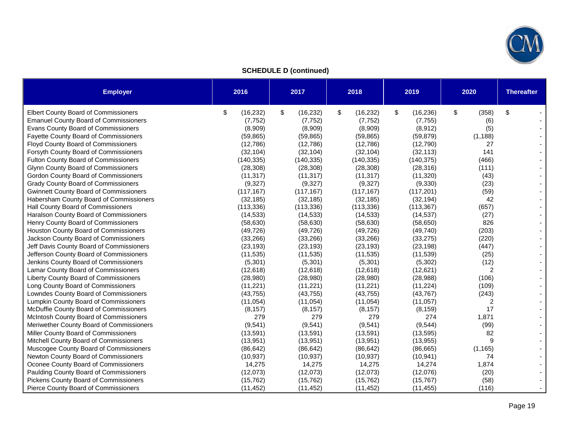

**SCHEDULE D (continued)** 

| <b>Employer</b>                               | 2016            | 2017            | 2018            | 2019            | 2020        | <b>Thereafter</b> |
|-----------------------------------------------|-----------------|-----------------|-----------------|-----------------|-------------|-------------------|
| <b>Elbert County Board of Commissioners</b>   | \$<br>(16, 232) | \$<br>(16, 232) | \$<br>(16, 232) | \$<br>(16, 236) | \$<br>(358) | \$                |
| <b>Emanuel County Board of Commissioners</b>  | (7, 752)        | (7, 752)        | (7, 752)        | (7, 755)        | (6)         |                   |
| Evans County Board of Commissioners           | (8,909)         | (8,909)         | (8,909)         | (8, 912)        | (5)         |                   |
| <b>Fayette County Board of Commissioners</b>  | (59, 865)       | (59, 865)       | (59, 865)       | (59, 879)       | (1, 188)    |                   |
| <b>Floyd County Board of Commissioners</b>    | (12,786)        | (12,786)        | (12,786)        | (12,790)        | 27          |                   |
| Forsyth County Board of Commissioners         | (32, 104)       | (32, 104)       | (32, 104)       | (32, 113)       | 141         |                   |
| Fulton County Board of Commissioners          | (140, 335)      | (140, 335)      | (140, 335)      | (140, 375)      | (466)       |                   |
| <b>Glynn County Board of Commissioners</b>    | (28, 308)       | (28, 308)       | (28, 308)       | (28, 316)       | (111)       |                   |
| Gordon County Board of Commissioners          | (11, 317)       | (11, 317)       | (11, 317)       | (11, 320)       | (43)        |                   |
| <b>Grady County Board of Commissioners</b>    | (9, 327)        | (9,327)         | (9, 327)        | (9, 330)        | (23)        |                   |
| <b>Gwinnett County Board of Commissioners</b> | (117, 167)      | (117, 167)      | (117, 167)      | (117, 201)      | (59)        |                   |
| Habersham County Board of Commissioners       | (32, 185)       | (32, 185)       | (32, 185)       | (32, 194)       | 42          |                   |
| Hall County Board of Commissioners            | (113, 336)      | (113, 336)      | (113, 336)      | (113, 367)      | (657)       |                   |
| Haralson County Board of Commissioners        | (14, 533)       | (14, 533)       | (14, 533)       | (14, 537)       | (27)        |                   |
| Henry County Board of Commissioners           | (58, 630)       | (58, 630)       | (58, 630)       | (58, 650)       | 826         |                   |
| Houston County Board of Commissioners         | (49, 726)       | (49, 726)       | (49, 726)       | (49, 740)       | (203)       |                   |
| Jackson County Board of Commissioners         | (33, 266)       | (33, 266)       | (33, 266)       | (33, 275)       | (220)       |                   |
| Jeff Davis County Board of Commissioners      | (23, 193)       | (23, 193)       | (23, 193)       | (23, 198)       | (447)       |                   |
| Jefferson County Board of Commissioners       | (11, 535)       | (11, 535)       | (11, 535)       | (11, 539)       | (25)        |                   |
| Jenkins County Board of Commissioners         | (5,301)         | (5,301)         | (5,301)         | (5, 302)        | (12)        |                   |
| Lamar County Board of Commissioners           | (12, 618)       | (12, 618)       | (12, 618)       | (12, 621)       | 2           |                   |
| Liberty County Board of Commissioners         | (28,980)        | (28,980)        | (28,980)        | (28, 988)       | (106)       |                   |
| Long County Board of Commissioners            | (11, 221)       | (11, 221)       | (11, 221)       | (11, 224)       | (109)       |                   |
| Lowndes County Board of Commissioners         | (43, 755)       | (43, 755)       | (43, 755)       | (43, 767)       | (243)       |                   |
| Lumpkin County Board of Commissioners         | (11, 054)       | (11, 054)       | (11, 054)       | (11, 057)       | 2           |                   |
| McDuffie County Board of Commissioners        | (8, 157)        | (8, 157)        | (8, 157)        | (8, 159)        | 17          |                   |
| McIntosh County Board of Commissioners        | 279             | 279             | 279             | 274             | 1,871       |                   |
| Meriwether County Board of Commissioners      | (9, 541)        | (9, 541)        | (9, 541)        | (9, 544)        | (99)        |                   |
| Miller County Board of Commissioners          | (13, 591)       | (13, 591)       | (13,591)        | (13, 595)       | 82          |                   |
| Mitchell County Board of Commissioners        | (13, 951)       | (13, 951)       | (13, 951)       | (13, 955)       | 9           |                   |
| Muscogee County Board of Commissioners        | (86, 642)       | (86, 642)       | (86, 642)       | (86, 665)       | (1, 165)    |                   |
| Newton County Board of Commissioners          | (10, 937)       | (10, 937)       | (10, 937)       | (10, 941)       | 74          |                   |
| Oconee County Board of Commissioners          | 14,275          | 14,275          | 14,275          | 14,274          | 1,874       |                   |
| Paulding County Board of Commissioners        | (12,073)        | (12,073)        | (12,073)        | (12,076)        | (20)        |                   |
| Pickens County Board of Commissioners         | (15, 762)       | (15, 762)       | (15, 762)       | (15, 767)       | (58)        |                   |
| Pierce County Board of Commissioners          | (11, 452)       | (11, 452)       | (11, 452)       | (11, 455)       | (116)       |                   |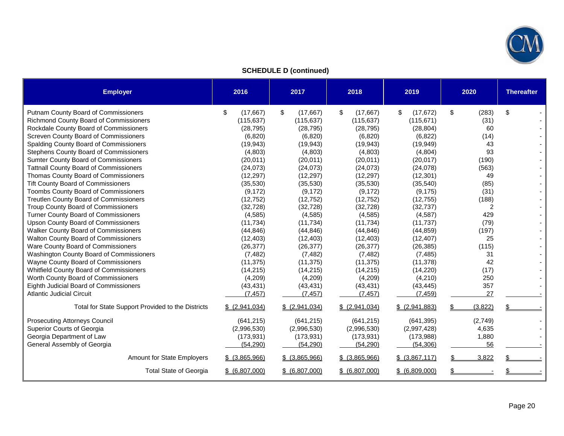

**SCHEDULE D (continued)** 

| <b>Employer</b>                                   | 2016              | 2017              | 2018              | 2019              | 2020        | <b>Thereafter</b> |
|---------------------------------------------------|-------------------|-------------------|-------------------|-------------------|-------------|-------------------|
| Putnam County Board of Commissioners              | \$<br>(17, 667)   | \$<br>(17,667)    | \$<br>(17,667)    | \$<br>(17, 672)   | \$<br>(283) | \$                |
| <b>Richmond County Board of Commissioners</b>     | (115, 637)        | (115, 637)        | (115, 637)        | (115, 671)        | (31)        |                   |
| Rockdale County Board of Commissioners            | (28, 795)         | (28, 795)         | (28, 795)         | (28, 804)         | 60          |                   |
| Screven County Board of Commissioners             | (6,820)           | (6, 820)          | (6,820)           | (6, 822)          | (14)        |                   |
| Spalding County Board of Commissioners            | (19, 943)         | (19, 943)         | (19, 943)         | (19, 949)         | 43          |                   |
| Stephens County Board of Commissioners            | (4,803)           | (4,803)           | (4,803)           | (4,804)           | 93          |                   |
| Sumter County Board of Commissioners              | (20, 011)         | (20, 011)         | (20, 011)         | (20, 017)         | (190)       |                   |
| <b>Tattnall County Board of Commissioners</b>     | (24,073)          | (24,073)          | (24, 073)         | (24,078)          | (563)       |                   |
| Thomas County Board of Commissioners              | (12, 297)         | (12, 297)         | (12, 297)         | (12, 301)         | 49          |                   |
| <b>Tift County Board of Commissioners</b>         | (35,530)          | (35,530)          | (35,530)          | (35, 540)         | (85)        |                   |
| Toombs County Board of Commissioners              | (9, 172)          | (9, 172)          | (9, 172)          | (9, 175)          | (31)        |                   |
| <b>Treutlen County Board of Commissioners</b>     | (12, 752)         | (12, 752)         | (12, 752)         | (12, 755)         | (188)       |                   |
| Troup County Board of Commissioners               | (32, 728)         | (32, 728)         | (32, 728)         | (32, 737)         | 2           |                   |
| <b>Turner County Board of Commissioners</b>       | (4, 585)          | (4, 585)          | (4, 585)          | (4, 587)          | 429         |                   |
| <b>Upson County Board of Commissioners</b>        | (11, 734)         | (11, 734)         | (11, 734)         | (11, 737)         | (79)        |                   |
| Walker County Board of Commissioners              | (44, 846)         | (44, 846)         | (44, 846)         | (44, 859)         | (197)       |                   |
| Walton County Board of Commissioners              | (12, 403)         | (12, 403)         | (12, 403)         | (12, 407)         | 25          |                   |
| Ware County Board of Commissioners                | (26, 377)         | (26, 377)         | (26, 377)         | (26, 385)         | (115)       |                   |
| Washington County Board of Commissioners          | (7, 482)          | (7, 482)          | (7, 482)          | (7, 485)          | 31          |                   |
| Wayne County Board of Commissioners               | (11, 375)         | (11, 375)         | (11, 375)         | (11, 378)         | 42          |                   |
| Whitfield County Board of Commissioners           | (14,215)          | (14,215)          | (14, 215)         | (14,220)          | (17)        |                   |
| Worth County Board of Commissioners               | (4,209)           | (4,209)           | (4,209)           | (4,210)           | 250         |                   |
| Eighth Judicial Board of Commissioners            | (43, 431)         | (43, 431)         | (43, 431)         | (43, 445)         | 357         |                   |
| <b>Atlantic Judicial Circuit</b>                  | (7, 457)          | (7, 457)          | (7, 457)          | (7, 459)          | 27          |                   |
| Total for State Support Provided to the Districts | \$ (2,941,034)    | \$ (2,941,034)    | \$ (2,941,034)    | \$ (2,941,883)    | (3,822)     |                   |
| <b>Prosecuting Attorneys Council</b>              | (641, 215)        | (641, 215)        | (641, 215)        | (641, 395)        | (2,749)     |                   |
| Superior Courts of Georgia                        | (2,996,530)       | (2,996,530)       | (2,996,530)       | (2,997,428)       | 4,635       |                   |
| Georgia Department of Law                         | (173, 931)        | (173, 931)        | (173, 931)        | (173,988)         | 1,880       |                   |
| General Assembly of Georgia                       | (54, 290)         | (54, 290)         | (54, 290)         | (54, 306)         | 56          |                   |
| Amount for State Employers                        | $$$ $(3,865,966)$ | $$$ $(3,865,966)$ | $$$ $(3,865,966)$ | $$$ $(3,867,117)$ | 3,822       |                   |
| <b>Total State of Georgia</b>                     | \$ (6,807,000)    | \$ (6,807,000)    | \$ (6,807,000)    | \$ (6,809,000)    |             |                   |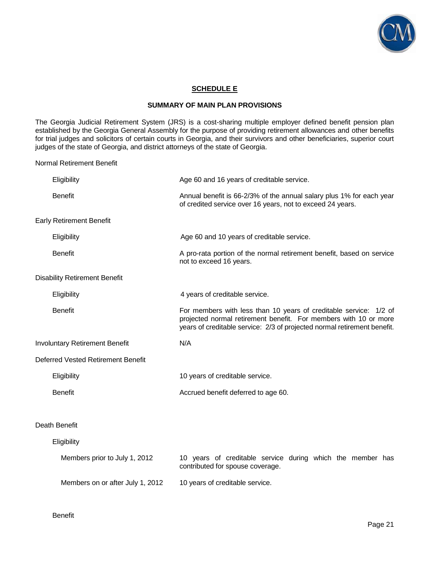

### **SCHEDULE E**

#### **SUMMARY OF MAIN PLAN PROVISIONS**

The Georgia Judicial Retirement System (JRS) is a cost-sharing multiple employer defined benefit pension plan established by the Georgia General Assembly for the purpose of providing retirement allowances and other benefits for trial judges and solicitors of certain courts in Georgia, and their survivors and other beneficiaries, superior court judges of the state of Georgia, and district attorneys of the state of Georgia.

Normal Retirement Benefit

| Eligibility                               | Age 60 and 16 years of creditable service.                                                                                                                                                                        |  |  |  |  |  |  |  |
|-------------------------------------------|-------------------------------------------------------------------------------------------------------------------------------------------------------------------------------------------------------------------|--|--|--|--|--|--|--|
| <b>Benefit</b>                            | Annual benefit is 66-2/3% of the annual salary plus 1% for each year<br>of credited service over 16 years, not to exceed 24 years.                                                                                |  |  |  |  |  |  |  |
| <b>Early Retirement Benefit</b>           |                                                                                                                                                                                                                   |  |  |  |  |  |  |  |
| Eligibility                               | Age 60 and 10 years of creditable service.                                                                                                                                                                        |  |  |  |  |  |  |  |
| <b>Benefit</b>                            | A pro-rata portion of the normal retirement benefit, based on service<br>not to exceed 16 years.                                                                                                                  |  |  |  |  |  |  |  |
| <b>Disability Retirement Benefit</b>      |                                                                                                                                                                                                                   |  |  |  |  |  |  |  |
| Eligibility                               | 4 years of creditable service.                                                                                                                                                                                    |  |  |  |  |  |  |  |
| <b>Benefit</b>                            | For members with less than 10 years of creditable service: 1/2 of<br>projected normal retirement benefit. For members with 10 or more<br>years of creditable service: 2/3 of projected normal retirement benefit. |  |  |  |  |  |  |  |
|                                           |                                                                                                                                                                                                                   |  |  |  |  |  |  |  |
| <b>Involuntary Retirement Benefit</b>     | N/A                                                                                                                                                                                                               |  |  |  |  |  |  |  |
| <b>Deferred Vested Retirement Benefit</b> |                                                                                                                                                                                                                   |  |  |  |  |  |  |  |
| Eligibility                               | 10 years of creditable service.                                                                                                                                                                                   |  |  |  |  |  |  |  |
| <b>Benefit</b>                            | Accrued benefit deferred to age 60.                                                                                                                                                                               |  |  |  |  |  |  |  |
|                                           |                                                                                                                                                                                                                   |  |  |  |  |  |  |  |
| Death Benefit                             |                                                                                                                                                                                                                   |  |  |  |  |  |  |  |
| Eligibility                               |                                                                                                                                                                                                                   |  |  |  |  |  |  |  |
| Members prior to July 1, 2012             | 10 years of creditable service during which the member has<br>contributed for spouse coverage.                                                                                                                    |  |  |  |  |  |  |  |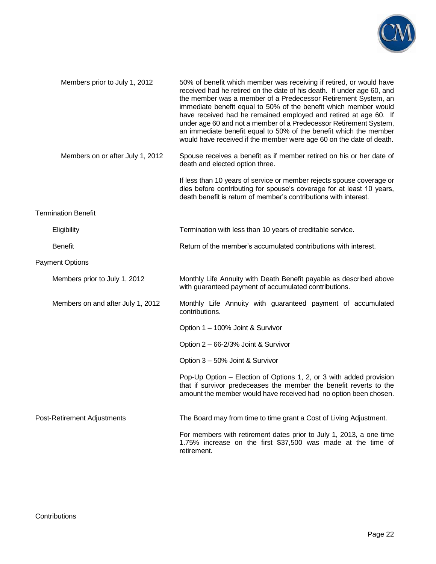

| Members prior to July 1, 2012     | 50% of benefit which member was receiving if retired, or would have<br>received had he retired on the date of his death. If under age 60, and<br>the member was a member of a Predecessor Retirement System, an<br>immediate benefit equal to 50% of the benefit which member would<br>have received had he remained employed and retired at age 60. If<br>under age 60 and not a member of a Predecessor Retirement System,<br>an immediate benefit equal to 50% of the benefit which the member<br>would have received if the member were age 60 on the date of death. |
|-----------------------------------|--------------------------------------------------------------------------------------------------------------------------------------------------------------------------------------------------------------------------------------------------------------------------------------------------------------------------------------------------------------------------------------------------------------------------------------------------------------------------------------------------------------------------------------------------------------------------|
| Members on or after July 1, 2012  | Spouse receives a benefit as if member retired on his or her date of<br>death and elected option three.                                                                                                                                                                                                                                                                                                                                                                                                                                                                  |
|                                   | If less than 10 years of service or member rejects spouse coverage or<br>dies before contributing for spouse's coverage for at least 10 years,<br>death benefit is return of member's contributions with interest.                                                                                                                                                                                                                                                                                                                                                       |
| <b>Termination Benefit</b>        |                                                                                                                                                                                                                                                                                                                                                                                                                                                                                                                                                                          |
| Eligibility                       | Termination with less than 10 years of creditable service.                                                                                                                                                                                                                                                                                                                                                                                                                                                                                                               |
| <b>Benefit</b>                    | Return of the member's accumulated contributions with interest.                                                                                                                                                                                                                                                                                                                                                                                                                                                                                                          |
| <b>Payment Options</b>            |                                                                                                                                                                                                                                                                                                                                                                                                                                                                                                                                                                          |
| Members prior to July 1, 2012     | Monthly Life Annuity with Death Benefit payable as described above<br>with guaranteed payment of accumulated contributions.                                                                                                                                                                                                                                                                                                                                                                                                                                              |
| Members on and after July 1, 2012 | Monthly Life Annuity with guaranteed payment of accumulated<br>contributions.                                                                                                                                                                                                                                                                                                                                                                                                                                                                                            |
|                                   | Option 1 - 100% Joint & Survivor                                                                                                                                                                                                                                                                                                                                                                                                                                                                                                                                         |
|                                   | Option 2 - 66-2/3% Joint & Survivor                                                                                                                                                                                                                                                                                                                                                                                                                                                                                                                                      |
|                                   | Option 3 - 50% Joint & Survivor                                                                                                                                                                                                                                                                                                                                                                                                                                                                                                                                          |
|                                   | Pop-Up Option – Election of Options 1, 2, or 3 with added provision<br>that if survivor predeceases the member the benefit reverts to the<br>amount the member would have received had no option been chosen.                                                                                                                                                                                                                                                                                                                                                            |
| Post-Retirement Adjustments       | The Board may from time to time grant a Cost of Living Adjustment.                                                                                                                                                                                                                                                                                                                                                                                                                                                                                                       |
|                                   | For members with retirement dates prior to July 1, 2013, a one time<br>1.75% increase on the first \$37,500 was made at the time of<br>retirement.                                                                                                                                                                                                                                                                                                                                                                                                                       |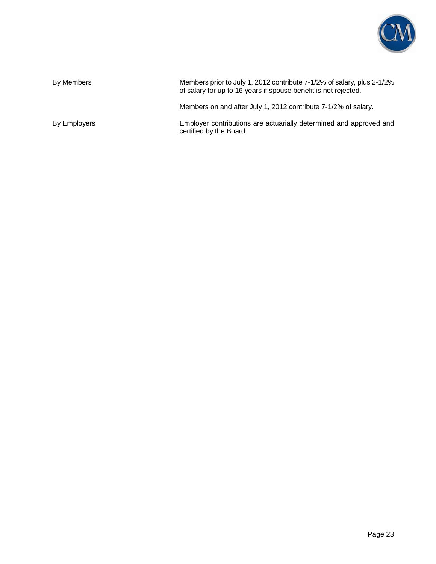

| By Members   | Members prior to July 1, 2012 contribute 7-1/2% of salary, plus 2-1/2%<br>of salary for up to 16 years if spouse benefit is not rejected. |
|--------------|-------------------------------------------------------------------------------------------------------------------------------------------|
|              | Members on and after July 1, 2012 contribute 7-1/2% of salary.                                                                            |
| By Employers | Employer contributions are actuarially determined and approved and<br>certified by the Board.                                             |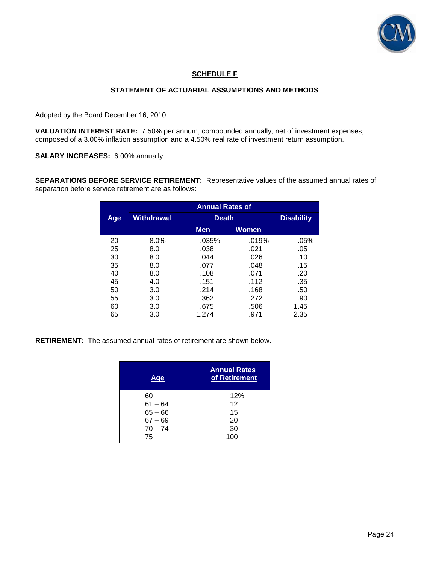

### **SCHEDULE F**

### **STATEMENT OF ACTUARIAL ASSUMPTIONS AND METHODS**

Adopted by the Board December 16, 2010.

**VALUATION INTEREST RATE:** 7.50% per annum, compounded annually, net of investment expenses, composed of a 3.00% inflation assumption and a 4.50% real rate of investment return assumption.

**SALARY INCREASES:** 6.00% annually

**SEPARATIONS BEFORE SERVICE RETIREMENT:** Representative values of the assumed annual rates of separation before service retirement are as follows:

|     | <b>Annual Rates of</b> |            |              |      |  |  |  |  |  |
|-----|------------------------|------------|--------------|------|--|--|--|--|--|
| Age | <b>Withdrawal</b>      |            | <b>Death</b> |      |  |  |  |  |  |
|     |                        | <b>Men</b> | <b>Women</b> |      |  |  |  |  |  |
| 20  | $8.0\%$                | .035%      | .019%        | .05% |  |  |  |  |  |
| 25  | 8.0                    | .038       | .021         | .05  |  |  |  |  |  |
| 30  | 8.0                    | .044       | .026         | .10  |  |  |  |  |  |
| 35  | 8.0                    | .077       | .048         | .15  |  |  |  |  |  |
| 40  | 8.0                    | .108       | .071         | .20  |  |  |  |  |  |
| 45  | 4.0                    | .151       | .112         | .35  |  |  |  |  |  |
| 50  | 3.0                    | .214       | .168         | .50  |  |  |  |  |  |
| 55  | 3.0                    | .362       | .272         | .90  |  |  |  |  |  |
| 60  | 3.0                    | .675       | .506         | 1.45 |  |  |  |  |  |
| 65  | 3.0                    | 1.274      | .971         | 2.35 |  |  |  |  |  |

**RETIREMENT:** The assumed annual rates of retirement are shown below.

| Aqe       | <b>Annual Rates</b><br>of Retirement |  |
|-----------|--------------------------------------|--|
| 60        | 12%                                  |  |
| $61 - 64$ | 12                                   |  |
| $65 - 66$ | 15                                   |  |
| $67 - 69$ | 20                                   |  |
| $70 - 74$ | 30                                   |  |
| 75        | 100                                  |  |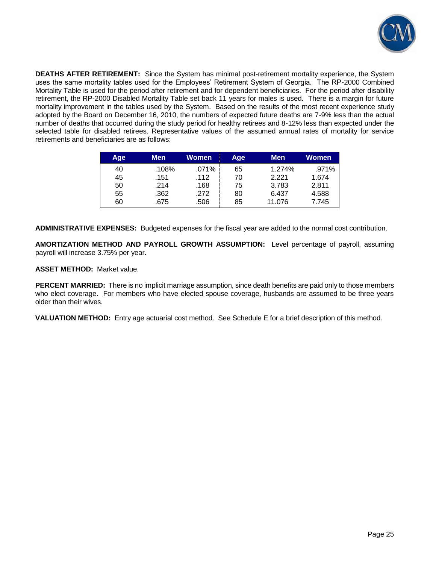

**DEATHS AFTER RETIREMENT:** Since the System has minimal post-retirement mortality experience, the System uses the same mortality tables used for the Employees' Retirement System of Georgia. The RP-2000 Combined Mortality Table is used for the period after retirement and for dependent beneficiaries. For the period after disability retirement, the RP-2000 Disabled Mortality Table set back 11 years for males is used. There is a margin for future mortality improvement in the tables used by the System. Based on the results of the most recent experience study adopted by the Board on December 16, 2010, the numbers of expected future deaths are 7-9% less than the actual number of deaths that occurred during the study period for healthy retirees and 8-12% less than expected under the selected table for disabled retirees. Representative values of the assumed annual rates of mortality for service retirements and beneficiaries are as follows:

| Age | Men   | Women | Age | <b>Men</b> | Women |
|-----|-------|-------|-----|------------|-------|
| 40  | .108% | .071% | 65  | 1.274%     | .971% |
| 45  | .151  | .112  | 70  | 2.221      | 1.674 |
| 50  | .214  | .168  | 75  | 3.783      | 2.811 |
| 55  | .362  | .272  | 80  | 6.437      | 4.588 |
| 60  | .675  | .506  | 85  | 11.076     | 7.745 |

**ADMINISTRATIVE EXPENSES:** Budgeted expenses for the fiscal year are added to the normal cost contribution.

**AMORTIZATION METHOD AND PAYROLL GROWTH ASSUMPTION:** Level percentage of payroll, assuming payroll will increase 3.75% per year.

**ASSET METHOD:** Market value.

**PERCENT MARRIED:** There is no implicit marriage assumption, since death benefits are paid only to those members who elect coverage. For members who have elected spouse coverage, husbands are assumed to be three years older than their wives.

**VALUATION METHOD:** Entry age actuarial cost method. See Schedule E for a brief description of this method.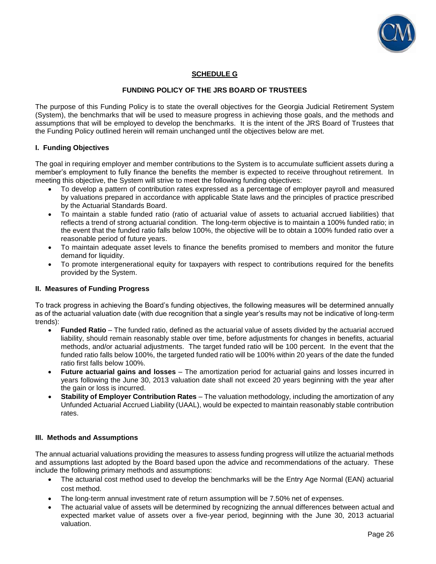

### **SCHEDULE G**

### **FUNDING POLICY OF THE JRS BOARD OF TRUSTEES**

The purpose of this Funding Policy is to state the overall objectives for the Georgia Judicial Retirement System (System), the benchmarks that will be used to measure progress in achieving those goals, and the methods and assumptions that will be employed to develop the benchmarks. It is the intent of the JRS Board of Trustees that the Funding Policy outlined herein will remain unchanged until the objectives below are met.

### **I. Funding Objectives**

The goal in requiring employer and member contributions to the System is to accumulate sufficient assets during a member's employment to fully finance the benefits the member is expected to receive throughout retirement. In meeting this objective, the System will strive to meet the following funding objectives:

- To develop a pattern of contribution rates expressed as a percentage of employer payroll and measured by valuations prepared in accordance with applicable State laws and the principles of practice prescribed by the Actuarial Standards Board.
- To maintain a stable funded ratio (ratio of actuarial value of assets to actuarial accrued liabilities) that reflects a trend of strong actuarial condition. The long-term objective is to maintain a 100% funded ratio; in the event that the funded ratio falls below 100%, the objective will be to obtain a 100% funded ratio over a reasonable period of future years.
- To maintain adequate asset levels to finance the benefits promised to members and monitor the future demand for liquidity.
- To promote intergenerational equity for taxpayers with respect to contributions required for the benefits provided by the System.

#### **II. Measures of Funding Progress**

To track progress in achieving the Board's funding objectives, the following measures will be determined annually as of the actuarial valuation date (with due recognition that a single year's results may not be indicative of long-term trends):

- **Funded Ratio** The funded ratio, defined as the actuarial value of assets divided by the actuarial accrued liability, should remain reasonably stable over time, before adjustments for changes in benefits, actuarial methods, and/or actuarial adjustments. The target funded ratio will be 100 percent. In the event that the funded ratio falls below 100%, the targeted funded ratio will be 100% within 20 years of the date the funded ratio first falls below 100%.
- **Future actuarial gains and losses**  The amortization period for actuarial gains and losses incurred in years following the June 30, 2013 valuation date shall not exceed 20 years beginning with the year after the gain or loss is incurred.
- **Stability of Employer Contribution Rates** The valuation methodology, including the amortization of any Unfunded Actuarial Accrued Liability (UAAL), would be expected to maintain reasonably stable contribution rates.

#### **III. Methods and Assumptions**

The annual actuarial valuations providing the measures to assess funding progress will utilize the actuarial methods and assumptions last adopted by the Board based upon the advice and recommendations of the actuary. These include the following primary methods and assumptions:

- The actuarial cost method used to develop the benchmarks will be the Entry Age Normal (EAN) actuarial cost method.
- The long-term annual investment rate of return assumption will be 7.50% net of expenses.
- The actuarial value of assets will be determined by recognizing the annual differences between actual and expected market value of assets over a five-year period, beginning with the June 30, 2013 actuarial valuation.